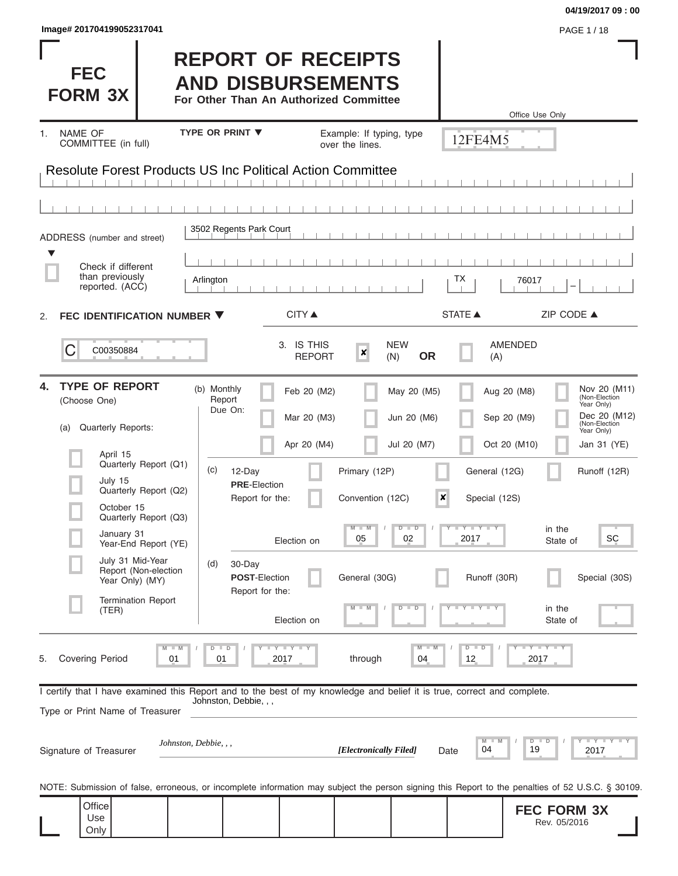| Image# 201704199052317041                                                                                                                                  |                                                                                                 |                                   |                                           |                                                                                                                                               | PAGE 1/18                                                                                  |
|------------------------------------------------------------------------------------------------------------------------------------------------------------|-------------------------------------------------------------------------------------------------|-----------------------------------|-------------------------------------------|-----------------------------------------------------------------------------------------------------------------------------------------------|--------------------------------------------------------------------------------------------|
| <b>FEC</b><br><b>FORM 3X</b>                                                                                                                               | <b>REPORT OF RECEIPTS</b><br><b>AND DISBURSEMENTS</b><br>For Other Than An Authorized Committee |                                   |                                           |                                                                                                                                               | Office Use Only                                                                            |
| NAME OF<br>1.                                                                                                                                              | <b>TYPE OR PRINT ▼</b>                                                                          | Example: If typing, type          |                                           | 12FE4M5                                                                                                                                       |                                                                                            |
| COMMITTEE (in full)                                                                                                                                        |                                                                                                 | over the lines.                   |                                           |                                                                                                                                               |                                                                                            |
| <b>Resolute Forest Products US Inc Political Action Committee</b>                                                                                          |                                                                                                 |                                   |                                           |                                                                                                                                               |                                                                                            |
|                                                                                                                                                            |                                                                                                 |                                   |                                           |                                                                                                                                               |                                                                                            |
| ADDRESS (number and street)                                                                                                                                | 3502 Regents Park Court                                                                         |                                   |                                           |                                                                                                                                               |                                                                                            |
| Check if different                                                                                                                                         |                                                                                                 |                                   |                                           |                                                                                                                                               |                                                                                            |
| than previously<br>reported. (ACC)                                                                                                                         | Arlington                                                                                       |                                   |                                           | TХ<br>76017                                                                                                                                   |                                                                                            |
| FEC IDENTIFICATION NUMBER ▼<br>2.                                                                                                                          | <b>CITY</b> ▲                                                                                   |                                   |                                           | <b>STATE ▲</b>                                                                                                                                | ZIP CODE ▲                                                                                 |
| C<br>C00350884                                                                                                                                             | 3. IS THIS                                                                                      | $\boldsymbol{x}$<br><b>REPORT</b> | <b>NEW</b><br><b>OR</b><br>(N)            | <b>AMENDED</b><br>(A)                                                                                                                         |                                                                                            |
| <b>TYPE OF REPORT</b><br>4.<br>(Choose One)<br>Quarterly Reports:<br>(a)                                                                                   | (b) Monthly<br>Feb 20 (M2)<br>Report<br>Due On:<br>Mar 20 (M3)                                  |                                   | May 20 (M5)<br>Jun 20 (M6)<br>Jul 20 (M7) | Aug 20 (M8)<br>Sep 20 (M9)                                                                                                                    | Nov 20 (M11)<br>(Non-Election<br>Year Only)<br>Dec 20 (M12)<br>(Non-Election<br>Year Only) |
| April 15<br>Quarterly Report (Q1)                                                                                                                          | Apr 20 (M4)<br>(c)<br>12-Day                                                                    | Primary (12P)                     |                                           | Oct 20 (M10)<br>General (12G)                                                                                                                 | Jan 31 (YE)<br>Runoff (12R)                                                                |
| July 15<br>Quarterly Report (Q2)<br>October 15                                                                                                             | <b>PRE-Election</b><br>Report for the:                                                          | Convention (12C)                  | ×                                         | Special (12S)                                                                                                                                 |                                                                                            |
| Quarterly Report (Q3)<br>January 31<br>Year-End Report (YE)                                                                                                | Election on                                                                                     | $M - M$<br>05                     | $D$ $D$<br>02                             | $\begin{array}{c c c c c c} \hline \textbf{I} & \textbf{Y} & \textbf{I} & \textbf{Y} & \textbf{I} & \textbf{Y} \\ \hline \end{array}$<br>2017 | in the<br>SC<br>State of                                                                   |
| July 31 Mid-Year<br>Report (Non-election<br>Year Only) (MY)                                                                                                | (d)<br>30-Day<br><b>POST-Election</b>                                                           | General (30G)                     |                                           | Runoff (30R)                                                                                                                                  | Special (30S)                                                                              |
| <b>Termination Report</b><br>(TER)                                                                                                                         | Report for the:<br>Election on                                                                  |                                   | D<br>т<br>$\overline{\mathbb{D}}$         | T                                                                                                                                             | in the<br>State of                                                                         |
| $M$ $M$<br><b>Covering Period</b><br>5.<br>01                                                                                                              | $\Box$<br>Y I Y I Y<br>D<br>01<br>2017                                                          | through                           | M<br>04                                   | $D$ $D$<br>12                                                                                                                                 | 2017                                                                                       |
| I certify that I have examined this Report and to the best of my knowledge and belief it is true, correct and complete.<br>Type or Print Name of Treasurer | Johnston, Debbie, , ,                                                                           |                                   |                                           |                                                                                                                                               |                                                                                            |
| Johnston, Debbie, , ,<br>Signature of Treasurer                                                                                                            |                                                                                                 | [Electronically Filed]            | Date                                      | $M$ $M$<br>04                                                                                                                                 | <b>TEYTEY LEY</b><br>$D$ $D$<br>19<br>2017                                                 |
| NOTE: Submission of false, erroneous, or incomplete information may subject the person signing this Report to the penalties of 52 U.S.C. § 30109.          |                                                                                                 |                                   |                                           |                                                                                                                                               |                                                                                            |
| Office<br>Use<br>Only                                                                                                                                      |                                                                                                 |                                   |                                           |                                                                                                                                               | <b>FEC FORM 3X</b><br>Rev. 05/2016                                                         |

**04/19/2017 09 : 00**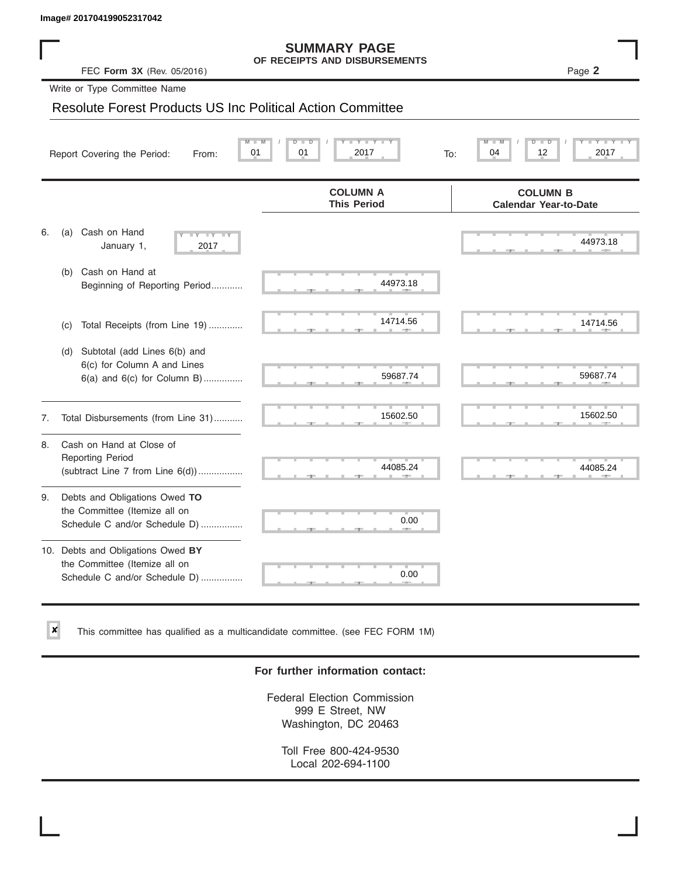✘

#### **SUMMARY PAGE OF RECEIPTS AND DISBURSEMENTS**

## Resolute Forest Products US Inc Political Action Committee

|    | Image# 201704199052317042                                                                           |                                                      |                                                 |
|----|-----------------------------------------------------------------------------------------------------|------------------------------------------------------|-------------------------------------------------|
|    | FEC Form 3X (Rev. 05/2016)                                                                          | <b>SUMMARY PAGE</b><br>OF RECEIPTS AND DISBURSEMENTS | Page 2                                          |
|    | Write or Type Committee Name                                                                        |                                                      |                                                 |
|    | <b>Resolute Forest Products US Inc Political Action Committee</b>                                   |                                                      |                                                 |
|    | Report Covering the Period:<br>From:                                                                | Y Y "<br>01<br>2017<br>01<br>To:                     | D<br>2017<br>04<br>12                           |
|    |                                                                                                     | <b>COLUMN A</b><br><b>This Period</b>                | <b>COLUMN B</b><br><b>Calendar Year-to-Date</b> |
| 6. | Cash on Hand<br>(a)<br>$-Y - Y - Y$<br>January 1,<br>2017                                           |                                                      | 44973.18                                        |
|    | Cash on Hand at<br>(b)<br>Beginning of Reporting Period                                             | 44973.18                                             |                                                 |
|    | Total Receipts (from Line 19)<br>(c)                                                                | 14714.56                                             | 14714.56                                        |
|    | Subtotal (add Lines 6(b) and<br>(d)<br>6(c) for Column A and Lines<br>6(a) and 6(c) for Column B)   | 59687.74                                             | 59687.74                                        |
| 7. | Total Disbursements (from Line 31)                                                                  | 15602.50                                             | 15602.50                                        |
| 8. | Cash on Hand at Close of<br><b>Reporting Period</b><br>(subtract Line $7$ from Line $6(d)$ )        | 44085.24                                             | 44085.24                                        |
| 9. | Debts and Obligations Owed TO<br>the Committee (Itemize all on<br>Schedule C and/or Schedule D)     | 0.00                                                 |                                                 |
|    | 10. Debts and Obligations Owed BY<br>the Committee (Itemize all on<br>Schedule C and/or Schedule D) | T.<br>0.00                                           |                                                 |

This committee has qualified as a multicandidate committee. (see FEC FORM 1M)

### **For further information contact:**

Federal Election Commission 999 E Street, NW Washington, DC 20463

Toll Free 800-424-9530 Local 202-694-1100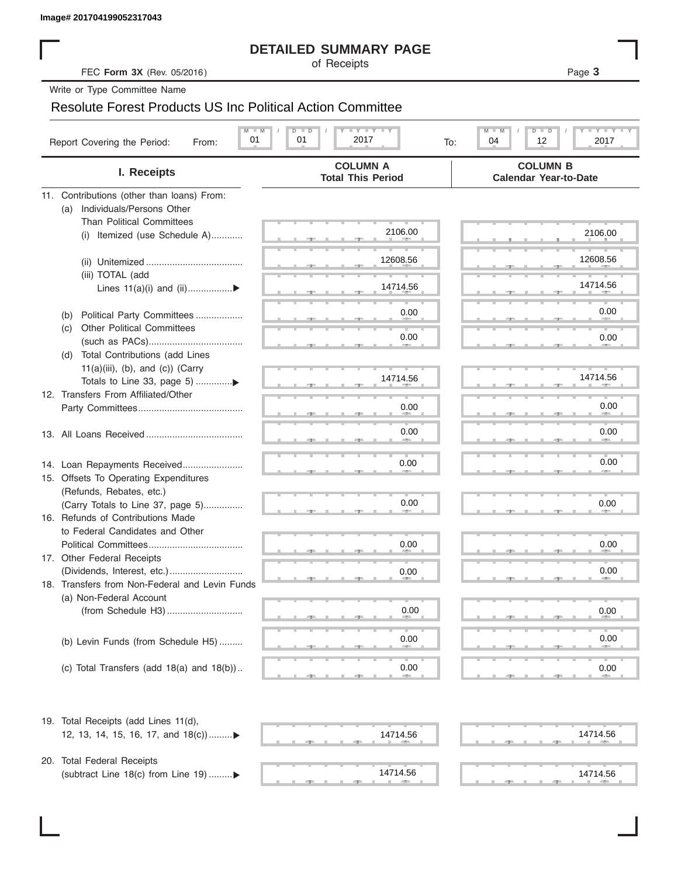### **DETAILED SUMMARY PAGE**

## Resolute Forest Products US Inc Political Action Committee

|                                                                      | <b>DETAILED SUMMARY PAGE</b>                            |                                                           |
|----------------------------------------------------------------------|---------------------------------------------------------|-----------------------------------------------------------|
| FEC Form 3X (Rev. 05/2016)                                           | of Receipts                                             | Page 3                                                    |
| Write or Type Committee Name                                         |                                                         |                                                           |
| <b>Resolute Forest Products US Inc Political Action Committee</b>    |                                                         |                                                           |
|                                                                      |                                                         |                                                           |
| $M - M$<br>01<br>Report Covering the Period:<br>From:                | $I - Y - I - Y - I - Y$<br>$D$ $D$<br>01<br>2017<br>To: | $T - Y = T - Y$<br>$M - M$<br>$D$ $D$<br>04<br>12<br>2017 |
| I. Receipts                                                          | <b>COLUMN A</b><br><b>Total This Period</b>             | <b>COLUMN B</b><br><b>Calendar Year-to-Date</b>           |
| 11. Contributions (other than loans) From:                           |                                                         |                                                           |
| Individuals/Persons Other<br>(a)                                     |                                                         |                                                           |
| <b>Than Political Committees</b>                                     | 2106.00                                                 |                                                           |
| (i) Itemized (use Schedule A)                                        |                                                         | 2106.00                                                   |
|                                                                      | 12608.56                                                | 12608.56                                                  |
| (iii) TOTAL (add                                                     |                                                         |                                                           |
| Lines $11(a)(i)$ and $(ii)$                                          | 14714.56                                                | 14714.56                                                  |
|                                                                      |                                                         |                                                           |
| Political Party Committees<br>(b)                                    | 0.00                                                    | 0.00                                                      |
| <b>Other Political Committees</b><br>(C)                             |                                                         |                                                           |
|                                                                      | 0.00                                                    | 0.00                                                      |
| Total Contributions (add Lines<br>(d)                                |                                                         |                                                           |
| $11(a)(iii)$ , (b), and (c)) (Carry                                  | 14714.56                                                | 14714.56                                                  |
| 12. Transfers From Affiliated/Other                                  |                                                         |                                                           |
|                                                                      | 0.00                                                    | 0.00                                                      |
|                                                                      |                                                         |                                                           |
|                                                                      | 0.00                                                    | 0.00                                                      |
|                                                                      |                                                         |                                                           |
| 14. Loan Repayments Received                                         | 0.00                                                    | 0.00                                                      |
| 15. Offsets To Operating Expenditures                                |                                                         |                                                           |
| (Refunds, Rebates, etc.)                                             |                                                         |                                                           |
| (Carry Totals to Line 37, page 5)                                    | 0.00                                                    | 0.00                                                      |
| 16. Refunds of Contributions Made<br>to Federal Candidates and Other |                                                         |                                                           |
| Political Committees                                                 | 0.00                                                    | 0.00                                                      |
| 17. Other Federal Receipts                                           |                                                         |                                                           |
|                                                                      | 0.00                                                    | 0.00                                                      |
| 18. Transfers from Non-Federal and Levin Funds                       |                                                         |                                                           |
| (a) Non-Federal Account                                              |                                                         |                                                           |
|                                                                      | 0.00                                                    | 0.00                                                      |
|                                                                      |                                                         | 0.00                                                      |
| (b) Levin Funds (from Schedule H5)                                   | 0.00                                                    |                                                           |
| (c) Total Transfers (add $18(a)$ and $18(b)$ )                       | 0.00                                                    | 0.00                                                      |
|                                                                      |                                                         |                                                           |
| 19. Total Receipts (add Lines 11(d),                                 |                                                         |                                                           |
| 12, 13, 14, 15, 16, 17, and 18(c)                                    | 14714.56                                                | 14714.56                                                  |
| 20. Total Federal Receipts                                           |                                                         |                                                           |
| (subtract Line 18(c) from Line 19) ▶                                 | 14714.56                                                | 14714.56                                                  |
|                                                                      | <b>AREA</b>                                             |                                                           |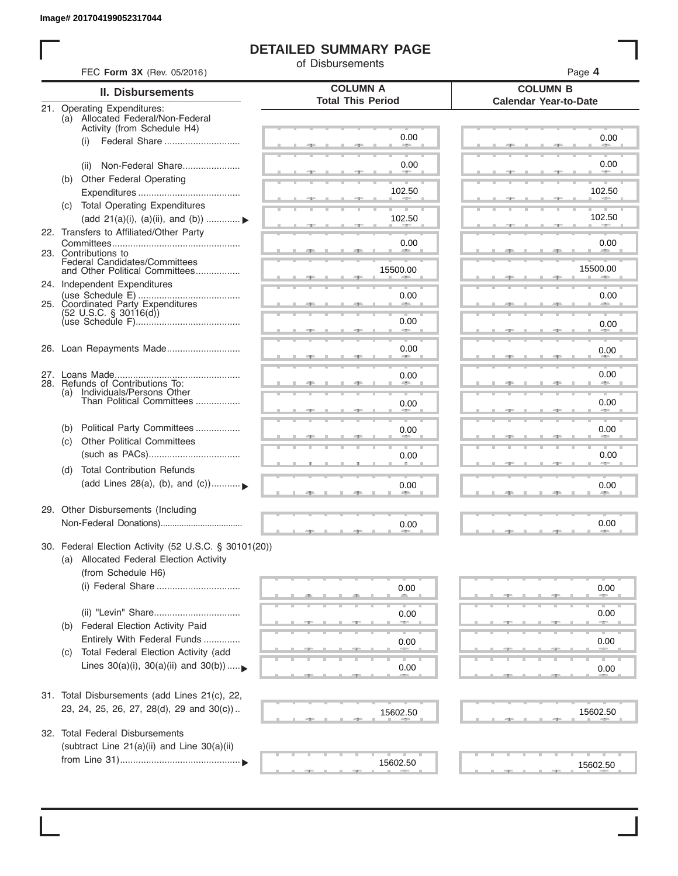I

### **DETAILED SUMMARY PAGE**

of Disbursements

| FEC Form 3X (Rev. 05/2016)                                                                                             |                                             | Page 4                                          |
|------------------------------------------------------------------------------------------------------------------------|---------------------------------------------|-------------------------------------------------|
| <b>II. Disbursements</b>                                                                                               | <b>COLUMN A</b><br><b>Total This Period</b> | <b>COLUMN B</b><br><b>Calendar Year-to-Date</b> |
| 21. Operating Expenditures:<br>(a) Allocated Federal/Non-Federal<br>Activity (from Schedule H4)                        |                                             |                                                 |
| Federal Share<br>(i)                                                                                                   | 0.00                                        | 0.00                                            |
| Non-Federal Share<br>(ii)                                                                                              | 0.00                                        | 0.00                                            |
| (b) Other Federal Operating                                                                                            | 102.50                                      | 102.50                                          |
| (c) Total Operating Expenditures<br>(add 21(a)(i), (a)(ii), and (b))  ▶                                                | 102.50                                      | 102.50                                          |
| 22. Transfers to Affiliated/Other Party                                                                                | 0.00                                        | 0.00                                            |
| 23. Contributions to<br>Federal Candidates/Committees<br>and Other Political Committees                                | -<br>15500.00                               | <b>Allen</b><br>15500.00                        |
| 24. Independent Expenditures                                                                                           | 0.00                                        | 0.00                                            |
| $(52 \text{ U.S.C. }$ § 30116(d))                                                                                      | 0.00                                        |                                                 |
|                                                                                                                        | <b>SERVICE</b>                              | 0.00                                            |
| 26. Loan Repayments Made                                                                                               | 0.00                                        | 0.00                                            |
| 28. Refunds of Contributions To:                                                                                       | 0.00                                        | 0.00                                            |
| (a) Individuals/Persons Other<br>Than Political Committees                                                             | 0.00                                        | 0.00                                            |
| Political Party Committees<br>(b)<br><b>Other Political Committees</b><br>(c)                                          | 0.00                                        | 0.00                                            |
|                                                                                                                        | 0.00                                        | 0.00                                            |
| <b>Total Contribution Refunds</b><br>(d)<br>(add Lines 28(a), (b), and (c))                                            | 0.00                                        | 0.00                                            |
| 29. Other Disbursements (Including                                                                                     | 0.00                                        | 0.00                                            |
| 30. Federal Election Activity (52 U.S.C. § 30101(20))<br>(a) Allocated Federal Election Activity<br>(from Schedule H6) |                                             |                                                 |
| (i) Federal Share                                                                                                      | 0.00                                        | 0.00                                            |
| (ii) "Levin" Share<br>Federal Election Activity Paid<br>(b)                                                            | 0.00                                        | 0.00                                            |
| Entirely With Federal Funds<br>Total Federal Election Activity (add<br>(C)                                             | 0.00                                        | 0.00                                            |
| Lines $30(a)(i)$ , $30(a)(ii)$ and $30(b))$                                                                            | 0.00                                        | 0.00                                            |
| 31. Total Disbursements (add Lines 21(c), 22,                                                                          |                                             |                                                 |
| 23, 24, 25, 26, 27, 28(d), 29 and 30(c))                                                                               | 15602.50                                    | 15602.50                                        |
| 32. Total Federal Disbursements<br>(subtract Line 21(a)(ii) and Line 30(a)(ii)                                         |                                             |                                                 |
|                                                                                                                        | 15602.50                                    | 15602.50                                        |
|                                                                                                                        |                                             |                                                 |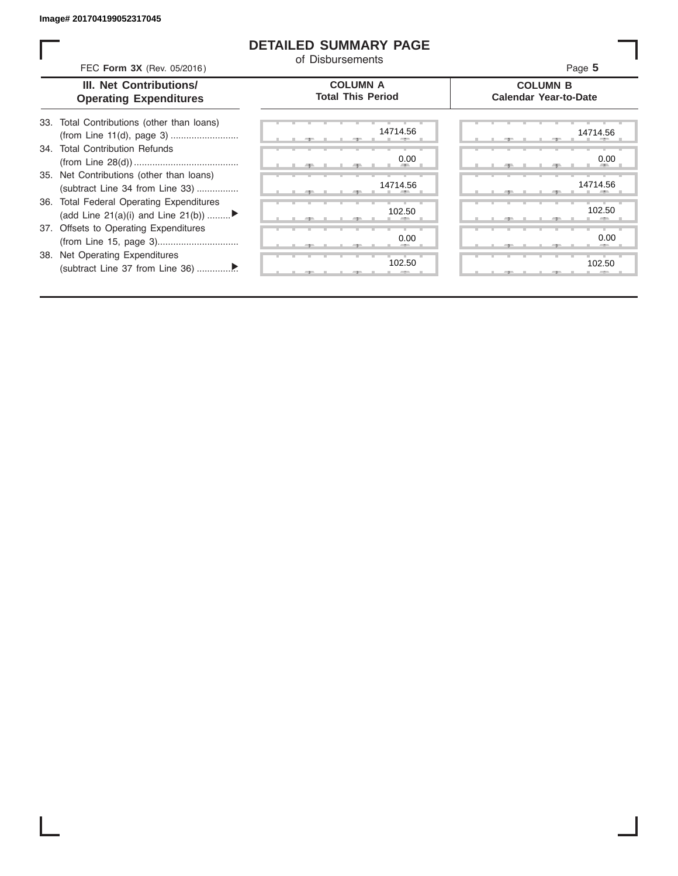ı

### **DETAILED SUMMARY PAGE**

of Disbursements

| FEC Form 3X (Rev. 05/2016)                                                     | u Disputschens                              | Page 5                                          |
|--------------------------------------------------------------------------------|---------------------------------------------|-------------------------------------------------|
| <b>III. Net Contributions/</b><br><b>Operating Expenditures</b>                | <b>COLUMN A</b><br><b>Total This Period</b> | <b>COLUMN B</b><br><b>Calendar Year-to-Date</b> |
| 33. Total Contributions (other than loans)                                     | 14714.56                                    | 14714.56                                        |
| 34. Total Contribution Refunds                                                 | 0.00                                        | 0.00                                            |
| 35. Net Contributions (other than loans)<br>(subtract Line 34 from Line 33)    | 14714.56                                    | 14714.56                                        |
| 36. Total Federal Operating Expenditures<br>(add Line 21(a)(i) and Line 21(b)) | 102.50                                      | 102.50                                          |
| 37. Offsets to Operating Expenditures                                          | 0.00                                        | 0.00                                            |
| 38. Net Operating Expenditures                                                 | 102.50                                      | 102.50                                          |
|                                                                                |                                             |                                                 |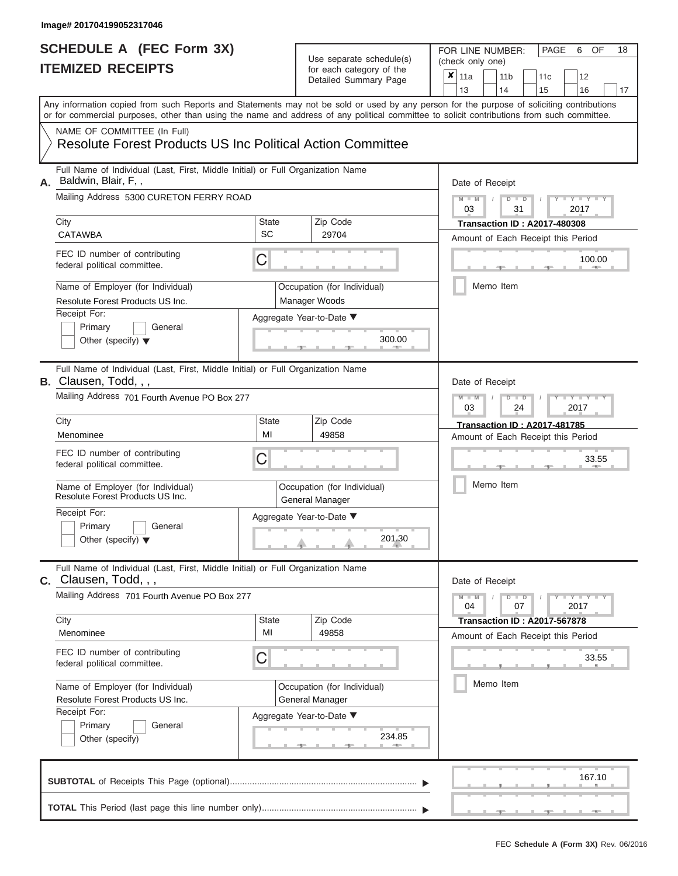# Use separate schedule(s)

| SCHEDULE A (FEC Form 3X)<br><b>ITEMIZED RECEIPTS</b>                                                                                                                                                                                                                                                                                                                                                         |                         | Use separate schedule(s)<br>for each category of the<br>Detailed Summary Page                             | 18<br>FOR LINE NUMBER:<br>PAGE<br>OF<br>6<br>(check only one)<br>$\overline{\mathbf{x}}$   11a<br>11 <sub>b</sub><br>11 <sub>c</sub><br>12<br>13<br>14<br>15<br>16<br>17                        |
|--------------------------------------------------------------------------------------------------------------------------------------------------------------------------------------------------------------------------------------------------------------------------------------------------------------------------------------------------------------------------------------------------------------|-------------------------|-----------------------------------------------------------------------------------------------------------|-------------------------------------------------------------------------------------------------------------------------------------------------------------------------------------------------|
| Any information copied from such Reports and Statements may not be sold or used by any person for the purpose of soliciting contributions<br>or for commercial purposes, other than using the name and address of any political committee to solicit contributions from such committee.<br>NAME OF COMMITTEE (In Full)<br><b>Resolute Forest Products US Inc Political Action Committee</b>                  |                         |                                                                                                           |                                                                                                                                                                                                 |
| Full Name of Individual (Last, First, Middle Initial) or Full Organization Name<br>Baldwin, Blair, F,,<br>А.<br>Mailing Address 5300 CURETON FERRY ROAD<br>City<br><b>CATAWBA</b><br>FEC ID number of contributing<br>federal political committee.<br>Name of Employer (for Individual)<br>Resolute Forest Products US Inc.<br>Receipt For:<br>Primary<br>General<br>Other (specify) $\blacktriangledown$    | State<br>SC<br>C        | Zip Code<br>29704<br>Occupation (for Individual)<br>Manager Woods<br>Aggregate Year-to-Date ▼<br>300.00   | Date of Receipt<br>$M - M$ /<br>$D$ $D$<br>$Y - Y$<br>03<br>31<br>2017<br><b>Transaction ID: A2017-480308</b><br>Amount of Each Receipt this Period<br>100.00<br><b>COLLECTIVE</b><br>Memo Item |
| Full Name of Individual (Last, First, Middle Initial) or Full Organization Name<br><b>B.</b> Clausen, Todd, , ,<br>Mailing Address 701 Fourth Avenue PO Box 277<br>City<br>Menominee<br>FEC ID number of contributing<br>federal political committee.<br>Name of Employer (for Individual)<br>Resolute Forest Products US Inc.<br>Receipt For:<br>Primary<br>General<br>Other (specify) $\blacktriangledown$ | <b>State</b><br>MI<br>С | Zip Code<br>49858<br>Occupation (for Individual)<br>General Manager<br>Aggregate Year-to-Date ▼<br>201.30 | Date of Receipt<br>$M - M$<br>Y TYT<br>$D$ $D$<br>03<br>2017<br>24<br><b>Transaction ID: A2017-481785</b><br>Amount of Each Receipt this Period<br>33.55<br>Memo Item                           |
| Full Name of Individual (Last, First, Middle Initial) or Full Organization Name<br>$c.$ Clausen, Todd, $, ,$<br>Mailing Address 701 Fourth Avenue PO Box 277<br>City<br>Menominee<br>FEC ID number of contributing<br>federal political committee.<br>Name of Employer (for Individual)<br>Resolute Forest Products US Inc.<br>Receipt For:<br>Primary<br>General<br>Other (specify)                         | State<br>MI<br>С        | Zip Code<br>49858<br>Occupation (for Individual)<br>General Manager<br>Aggregate Year-to-Date ▼<br>234.85 | Date of Receipt<br>$M - M$<br>$D$ $D$<br>$+Y+Y+Y$<br>04<br>07<br>2017<br><b>Transaction ID : A2017-567878</b><br>Amount of Each Receipt this Period<br>33.55<br>Memo Item                       |
|                                                                                                                                                                                                                                                                                                                                                                                                              |                         |                                                                                                           | 167.10<br>$-1$                                                                                                                                                                                  |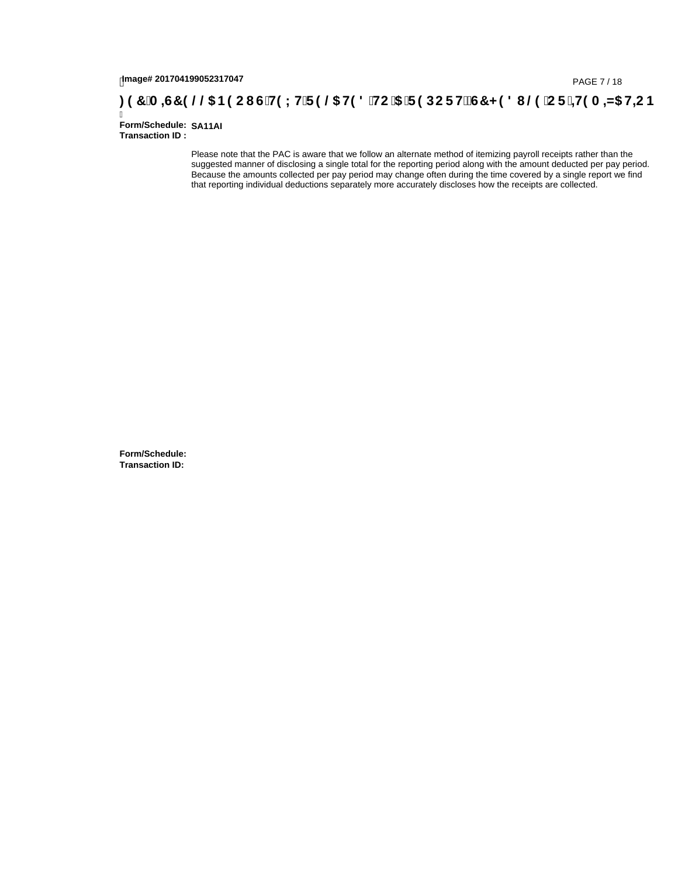# page# 201704199052317047<br>**Denge# 201704199052317047 / PAGE 7/ 18<br>Denge# 201704199052317047 / PAGE 7/ 18**

Ī **Form/Schedule: SA11AI Transaction ID :** 

> Please note that the PAC is aware that we follow an alternate method of itemizing payroll receipts rather than the suggested manner of disclosing a single total for the reporting period along with the amount deducted per pay period. Because the amounts collected per pay period may change often during the time covered by a single report we find that reporting individual deductions separately more accurately discloses how the receipts are collected.

**Form/Schedule: Transaction ID:**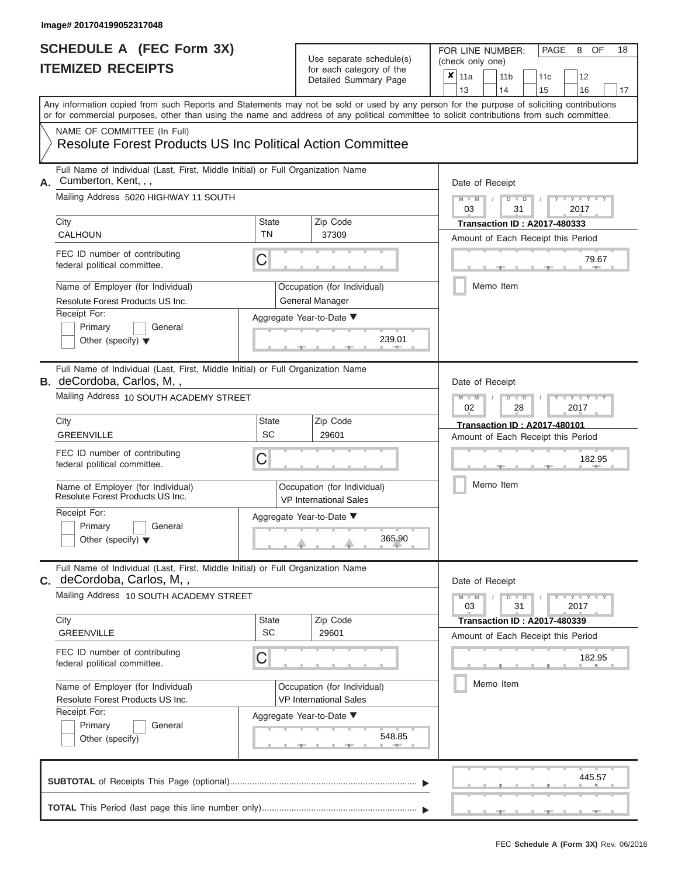# **SCHEDULE A (FEC Form 3X)**

# Use separate schedule(s)

| SCHEDULE A (FEC Form 3X)<br><b>ITEMIZED RECEIPTS</b>                                                                                                                                                                                                                                                                                                                                                                |                                | Use separate schedule(s)<br>for each category of the<br>Detailed Summary Page                                           | FOR LINE NUMBER:<br>PAGE<br>OF<br>18<br>8<br>(check only one)<br>$\boldsymbol{x}$<br>11a<br>11 <sub>b</sub><br>12<br>11c<br>13<br>14<br>15<br>16                                                   |
|---------------------------------------------------------------------------------------------------------------------------------------------------------------------------------------------------------------------------------------------------------------------------------------------------------------------------------------------------------------------------------------------------------------------|--------------------------------|-------------------------------------------------------------------------------------------------------------------------|----------------------------------------------------------------------------------------------------------------------------------------------------------------------------------------------------|
| Any information copied from such Reports and Statements may not be sold or used by any person for the purpose of soliciting contributions<br>or for commercial purposes, other than using the name and address of any political committee to solicit contributions from such committee.<br>NAME OF COMMITTEE (In Full)<br><b>Resolute Forest Products US Inc Political Action Committee</b>                         |                                |                                                                                                                         | 17                                                                                                                                                                                                 |
| Full Name of Individual (Last, First, Middle Initial) or Full Organization Name<br>Cumberton, Kent, , ,<br>А.<br>Mailing Address 5020 HIGHWAY 11 SOUTH<br>City<br><b>CALHOUN</b><br>FEC ID number of contributing<br>federal political committee.<br>Name of Employer (for Individual)<br>Resolute Forest Products US Inc.<br>Receipt For:<br>Primary<br>General<br>Other (specify) $\blacktriangledown$            | <b>State</b><br><b>TN</b><br>С | Zip Code<br>37309<br>Occupation (for Individual)<br>General Manager<br>Aggregate Year-to-Date ▼<br>239.01               | Date of Receipt<br>$M - M$<br>$D$ $D$<br>Y TY T<br>$\sqrt{ }$<br>03<br>31<br>2017<br><b>Transaction ID: A2017-480333</b><br>Amount of Each Receipt this Period<br>79.67<br><b>AND</b><br>Memo Item |
| Full Name of Individual (Last, First, Middle Initial) or Full Organization Name<br><b>B.</b> deCordoba, Carlos, M,,<br>Mailing Address 10 SOUTH ACADEMY STREET<br>City<br><b>GREENVILLE</b><br>FEC ID number of contributing<br>federal political committee.<br>Name of Employer (for Individual)<br>Resolute Forest Products US Inc.<br>Receipt For:<br>Primary<br>General<br>Other (specify) $\blacktriangledown$ | <b>State</b><br><b>SC</b><br>С | Zip Code<br>29601<br>Occupation (for Individual)<br><b>VP International Sales</b><br>Aggregate Year-to-Date ▼<br>365.90 | Date of Receipt<br>$M - M$<br>$D$ $\Box$ $D$<br>Y Y Y<br>02<br>2017<br>28<br><b>Transaction ID: A2017-480101</b><br>Amount of Each Receipt this Period<br>182.95<br>Memo Item                      |
| Full Name of Individual (Last, First, Middle Initial) or Full Organization Name<br><b>c.</b> deCordoba, Carlos, M,,<br>Mailing Address 10 SOUTH ACADEMY STREET<br>City<br><b>GREENVILLE</b><br>FEC ID number of contributing<br>federal political committee.<br>Name of Employer (for Individual)<br>Resolute Forest Products US Inc.<br>Receipt For:<br>Primary<br>General<br>Other (specify)                      | <b>State</b><br>SC<br>С        | Zip Code<br>29601<br>Occupation (for Individual)<br><b>VP International Sales</b><br>Aggregate Year-to-Date ▼<br>548.85 | Date of Receipt<br>$M - M$<br>$D$ $D$<br>$+Y+Y+Y$<br>31<br>2017<br>03<br><b>Transaction ID: A2017-480339</b><br>Amount of Each Receipt this Period<br>182.95<br>Memo Item                          |
|                                                                                                                                                                                                                                                                                                                                                                                                                     |                                |                                                                                                                         | 445.57                                                                                                                                                                                             |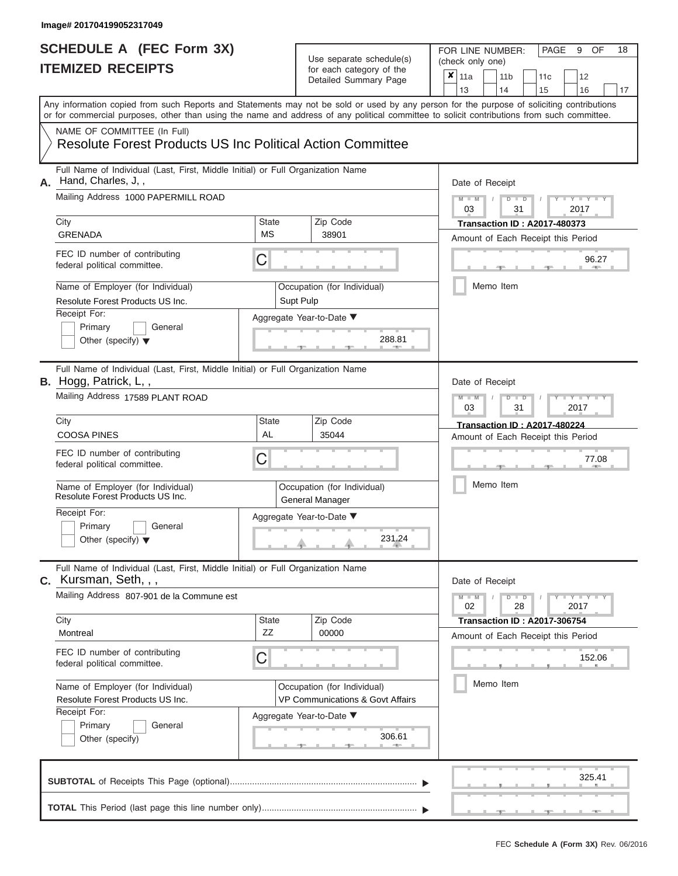| SCHEDULE A (FEC Form 3X)<br><b>ITEMIZED RECEIPTS</b>                                                                                                                                                                                                                                                                                                                                               |                         | Use separate schedule(s)<br>for each category of the<br>Detailed Summary Page                                              | 18<br>FOR LINE NUMBER:<br>PAGE<br>9<br>OF<br>(check only one)<br>$\overline{\mathbf{x}}$   11a<br>11 <sub>b</sub><br>11 <sub>c</sub><br>12<br>13<br>14<br>15<br>16<br>17                 |
|----------------------------------------------------------------------------------------------------------------------------------------------------------------------------------------------------------------------------------------------------------------------------------------------------------------------------------------------------------------------------------------------------|-------------------------|----------------------------------------------------------------------------------------------------------------------------|------------------------------------------------------------------------------------------------------------------------------------------------------------------------------------------|
| Any information copied from such Reports and Statements may not be sold or used by any person for the purpose of soliciting contributions<br>or for commercial purposes, other than using the name and address of any political committee to solicit contributions from such committee.<br>NAME OF COMMITTEE (In Full)<br><b>Resolute Forest Products US Inc Political Action Committee</b>        |                         |                                                                                                                            |                                                                                                                                                                                          |
| Full Name of Individual (Last, First, Middle Initial) or Full Organization Name<br>A. Hand, Charles, J,,<br>Mailing Address 1000 PAPERMILL ROAD<br>City<br><b>GRENADA</b><br>FEC ID number of contributing<br>federal political committee.<br>Name of Employer (for Individual)<br>Resolute Forest Products US Inc.<br>Receipt For:<br>Primary<br>General<br>Other (specify) $\blacktriangledown$  | <b>State</b><br>МS<br>С | Zip Code<br>38901<br>Occupation (for Individual)<br>Supt Pulp<br>Aggregate Year-to-Date ▼<br>288.81                        | Date of Receipt<br>$M$ – $M$ /<br>$D$ $D$<br>Y TY T<br>03<br>31<br>2017<br><b>Transaction ID: A2017-480373</b><br>Amount of Each Receipt this Period<br>96.27<br><b>AND</b><br>Memo Item |
| Full Name of Individual (Last, First, Middle Initial) or Full Organization Name<br>B. Hogg, Patrick, L,,<br>Mailing Address 17589 PLANT ROAD<br>City<br><b>COOSA PINES</b><br>FEC ID number of contributing<br>federal political committee.<br>Name of Employer (for Individual)<br>Resolute Forest Products US Inc.<br>Receipt For:<br>Primary<br>General<br>Other (specify) $\blacktriangledown$ | State<br>AL<br>С        | Zip Code<br>35044<br>Occupation (for Individual)<br>General Manager<br>Aggregate Year-to-Date ▼<br>231.24                  | Date of Receipt<br>$M - M$<br>Y TY<br>$D$ $D$<br>03<br>31<br>2017<br><b>Transaction ID: A2017-480224</b><br>Amount of Each Receipt this Period<br>77.08<br>Memo Item                     |
| Full Name of Individual (Last, First, Middle Initial) or Full Organization Name<br>$c.$ Kursman, Seth, , ,<br>Mailing Address 807-901 de la Commune est<br>City<br>Montreal<br>FEC ID number of contributing<br>federal political committee.<br>Name of Employer (for Individual)<br>Resolute Forest Products US Inc.<br>Receipt For:<br>Primary<br>General<br>Other (specify)                     | <b>State</b><br>ZZ<br>С | Zip Code<br>00000<br>Occupation (for Individual)<br>VP Communications & Govt Affairs<br>Aggregate Year-to-Date ▼<br>306.61 | Date of Receipt<br>$M - M$<br>$D$ $D$<br>$+Y+Y+Y$<br>02<br>28<br>2017<br><b>Transaction ID: A2017-306754</b><br>Amount of Each Receipt this Period<br>152.06<br>Memo Item                |
|                                                                                                                                                                                                                                                                                                                                                                                                    |                         |                                                                                                                            | 325.41<br>$-9$<br>$-1$                                                                                                                                                                   |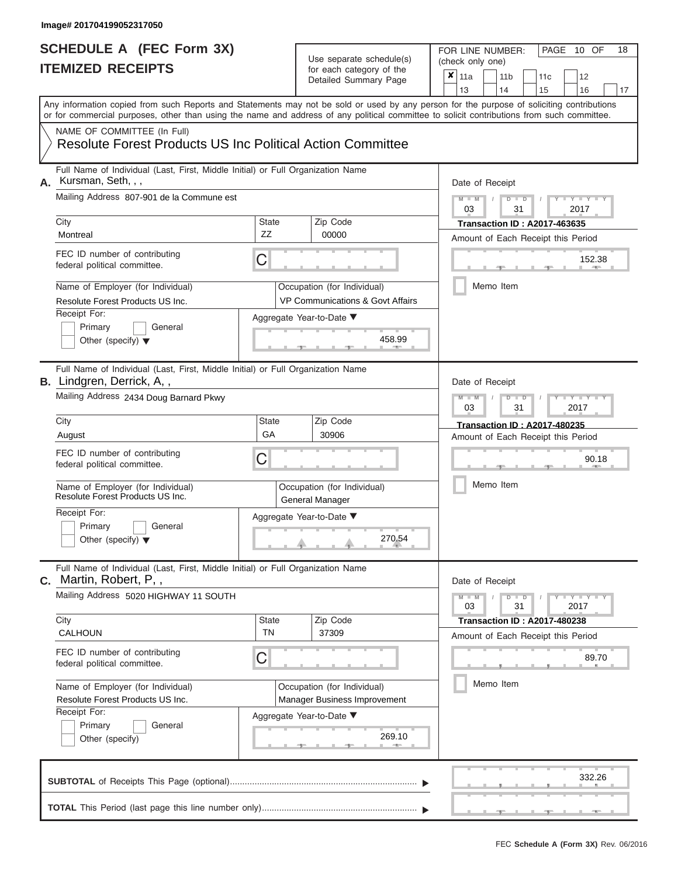| ITEMIZED RECEIPTS                                                                                                                                        |                          | for each category of the<br>Detailed Summary Page                  | ×<br>11a<br>11 <sub>b</sub><br>11 <sub>c</sub><br>12<br>13<br>14<br>15<br>16<br>17                                                                                                                                                                                                      |
|----------------------------------------------------------------------------------------------------------------------------------------------------------|--------------------------|--------------------------------------------------------------------|-----------------------------------------------------------------------------------------------------------------------------------------------------------------------------------------------------------------------------------------------------------------------------------------|
|                                                                                                                                                          |                          |                                                                    | Any information copied from such Reports and Statements may not be sold or used by any person for the purpose of soliciting contributions<br>or for commercial purposes, other than using the name and address of any political committee to solicit contributions from such committee. |
| NAME OF COMMITTEE (In Full)<br><b>Resolute Forest Products US Inc Political Action Committee</b>                                                         |                          |                                                                    |                                                                                                                                                                                                                                                                                         |
| Full Name of Individual (Last, First, Middle Initial) or Full Organization Name<br>Kursman, Seth, , ,<br>А.<br>Mailing Address 807-901 de la Commune est |                          |                                                                    | Date of Receipt                                                                                                                                                                                                                                                                         |
| City                                                                                                                                                     | State                    | Zip Code                                                           | $M - M$<br>$\mathbf{I} = \mathbf{Y} + \mathbf{Y} + \mathbf{I}$<br>ъ<br>$\Box$<br>03<br>31<br>2017<br><b>Transaction ID: A2017-463635</b>                                                                                                                                                |
| Montreal                                                                                                                                                 | ZZ                       | 00000                                                              | Amount of Each Receipt this Period                                                                                                                                                                                                                                                      |
| FEC ID number of contributing<br>federal political committee.                                                                                            | С                        |                                                                    | 152.38                                                                                                                                                                                                                                                                                  |
| Name of Employer (for Individual)<br>Resolute Forest Products US Inc.<br>Receipt For:                                                                    |                          | Occupation (for Individual)<br>VP Communications & Govt Affairs    | Memo Item                                                                                                                                                                                                                                                                               |
| Primary<br>General<br>Other (specify) $\blacktriangledown$                                                                                               | Aggregate Year-to-Date ▼ | 458.99                                                             |                                                                                                                                                                                                                                                                                         |
| Full Name of Individual (Last, First, Middle Initial) or Full Organization Name<br>B. Lindgren, Derrick, A,,                                             |                          |                                                                    | Date of Receipt                                                                                                                                                                                                                                                                         |
| Mailing Address 2434 Doug Barnard Pkwy                                                                                                                   |                          |                                                                    | Y TYT<br>$\overline{\mathsf{M}}$<br>$\blacksquare$<br>ಂ<br>D<br>2017<br>03<br>31                                                                                                                                                                                                        |
| City<br>August                                                                                                                                           | State<br>GA              | Zip Code<br>30906                                                  | <b>Transaction ID: A2017-480235</b><br>Amount of Each Receipt this Period                                                                                                                                                                                                               |
| FEC ID number of contributing<br>federal political committee.                                                                                            | С                        |                                                                    | 90.18                                                                                                                                                                                                                                                                                   |
| Name of Employer (for Individual)<br>Resolute Forest Products US Inc.                                                                                    |                          | Occupation (for Individual)<br>General Manager                     | Memo Item                                                                                                                                                                                                                                                                               |
| Receipt For:<br>Primary<br>General<br>Other (specify) $\blacktriangledown$                                                                               | Aggregate Year-to-Date ▼ | 270.54                                                             |                                                                                                                                                                                                                                                                                         |
| Full Name of Individual (Last, First, Middle Initial) or Full Organization Name<br>Martin, Robert, P,,<br>С.                                             |                          |                                                                    | Date of Receipt                                                                                                                                                                                                                                                                         |
| Mailing Address 5020 HIGHWAY 11 SOUTH                                                                                                                    |                          |                                                                    | $M - M$<br>$Y - Y - Y$<br>D<br>$\blacksquare$<br>31<br>03<br>2017                                                                                                                                                                                                                       |
| City<br><b>CALHOUN</b>                                                                                                                                   | <b>State</b><br>TN       | Zip Code<br>37309                                                  | <b>Transaction ID: A2017-480238</b><br>Amount of Each Receipt this Period                                                                                                                                                                                                               |
| FEC ID number of contributing<br>federal political committee.                                                                                            | C                        |                                                                    | 89.70                                                                                                                                                                                                                                                                                   |
| Name of Employer (for Individual)<br>Resolute Forest Products US Inc.                                                                                    |                          | Occupation (for Individual)<br><b>Manager Business Improvement</b> | Memo Item                                                                                                                                                                                                                                                                               |
| Receipt For:<br>Primary<br>General<br>Other (specify)                                                                                                    | Aggregate Year-to-Date ▼ | 269.10                                                             |                                                                                                                                                                                                                                                                                         |
|                                                                                                                                                          |                          |                                                                    | 332.26                                                                                                                                                                                                                                                                                  |
|                                                                                                                                                          |                          |                                                                    |                                                                                                                                                                                                                                                                                         |

PAGE 10 OF 18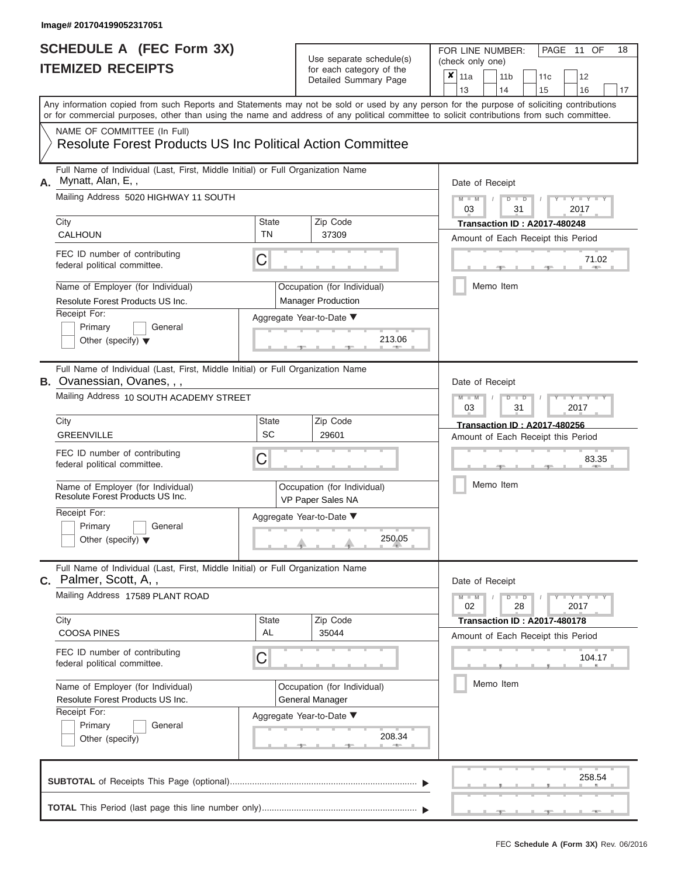# **SCHEDULE A (FEC Form 3X)**

# Use separate schedule(s)

| SCHEDULE A (FEC Form 3X)<br><b>ITEMIZED RECEIPTS</b>                                                                                                                                                                                                                                                                                                                                                                 |                         | Use separate schedule(s)<br>for each category of the<br>Detailed Summary Page                                       | FOR LINE NUMBER:<br>PAGE 11 OF<br>18<br>(check only one)<br>$\boldsymbol{\mathsf{x}}$<br>11a<br>11 <sub>b</sub><br>12<br>11c<br>13<br>14<br>15<br>16<br>17                                                                                                                |
|----------------------------------------------------------------------------------------------------------------------------------------------------------------------------------------------------------------------------------------------------------------------------------------------------------------------------------------------------------------------------------------------------------------------|-------------------------|---------------------------------------------------------------------------------------------------------------------|---------------------------------------------------------------------------------------------------------------------------------------------------------------------------------------------------------------------------------------------------------------------------|
| Any information copied from such Reports and Statements may not be sold or used by any person for the purpose of soliciting contributions<br>or for commercial purposes, other than using the name and address of any political committee to solicit contributions from such committee.<br>NAME OF COMMITTEE (In Full)<br><b>Resolute Forest Products US Inc Political Action Committee</b>                          |                         |                                                                                                                     |                                                                                                                                                                                                                                                                           |
| Full Name of Individual (Last, First, Middle Initial) or Full Organization Name<br>Mynatt, Alan, E,,<br>А.<br>Mailing Address 5020 HIGHWAY 11 SOUTH<br>City<br><b>CALHOUN</b><br>FEC ID number of contributing<br>federal political committee.<br>Name of Employer (for Individual)<br>Resolute Forest Products US Inc.<br>Receipt For:<br>Primary<br>General<br>Other (specify) $\blacktriangledown$                | State<br><b>TN</b><br>С | Zip Code<br>37309<br>Occupation (for Individual)<br><b>Manager Production</b><br>Aggregate Year-to-Date ▼<br>213.06 | Date of Receipt<br>$M - M$<br>$D$ $D$<br>$Y - Y - T$<br>$\sqrt{ }$<br>03<br>31<br>2017<br><b>Transaction ID: A2017-480248</b><br>Amount of Each Receipt this Period<br>71.02<br>$-$<br>Memo Item                                                                          |
| Full Name of Individual (Last, First, Middle Initial) or Full Organization Name<br><b>B.</b> Ovanessian, Ovanes, , ,<br>Mailing Address 10 SOUTH ACADEMY STREET<br>City<br><b>GREENVILLE</b><br>FEC ID number of contributing<br>federal political committee.<br>Name of Employer (for Individual)<br>Resolute Forest Products US Inc.<br>Receipt For:<br>Primary<br>General<br>Other (specify) $\blacktriangledown$ | State<br><b>SC</b><br>С | Zip Code<br>29601<br>Occupation (for Individual)<br>VP Paper Sales NA<br>Aggregate Year-to-Date ▼<br>250.05         | Date of Receipt<br>$M - M$<br>$D$ $\Box$ $D$<br>Y TY<br>03<br>31<br>2017<br><b>Transaction ID: A2017-480256</b><br>Amount of Each Receipt this Period<br>83.35<br>Memo Item                                                                                               |
| Full Name of Individual (Last, First, Middle Initial) or Full Organization Name<br>C. Palmer, Scott, A,,<br>Mailing Address 17589 PLANT ROAD<br>City<br><b>COOSA PINES</b><br>FEC ID number of contributing<br>federal political committee.<br>Name of Employer (for Individual)<br>Resolute Forest Products US Inc.<br>Receipt For:<br>Primary<br>General<br>Other (specify)                                        | State<br>AL<br>С        | Zip Code<br>35044<br>Occupation (for Individual)<br>General Manager<br>Aggregate Year-to-Date ▼<br>208.34           | Date of Receipt<br>$M - M$<br>$D$ $D$<br>$\blacksquare \blacksquare \mathsf{Y} \mathrel{\sqsubseteq} \mathsf{Y} \mathrel{\sqsubseteq} \mathsf{Y}$<br>28<br>02<br>2017<br><b>Transaction ID: A2017-480178</b><br>Amount of Each Receipt this Period<br>104.17<br>Memo Item |
|                                                                                                                                                                                                                                                                                                                                                                                                                      |                         |                                                                                                                     | 258.54                                                                                                                                                                                                                                                                    |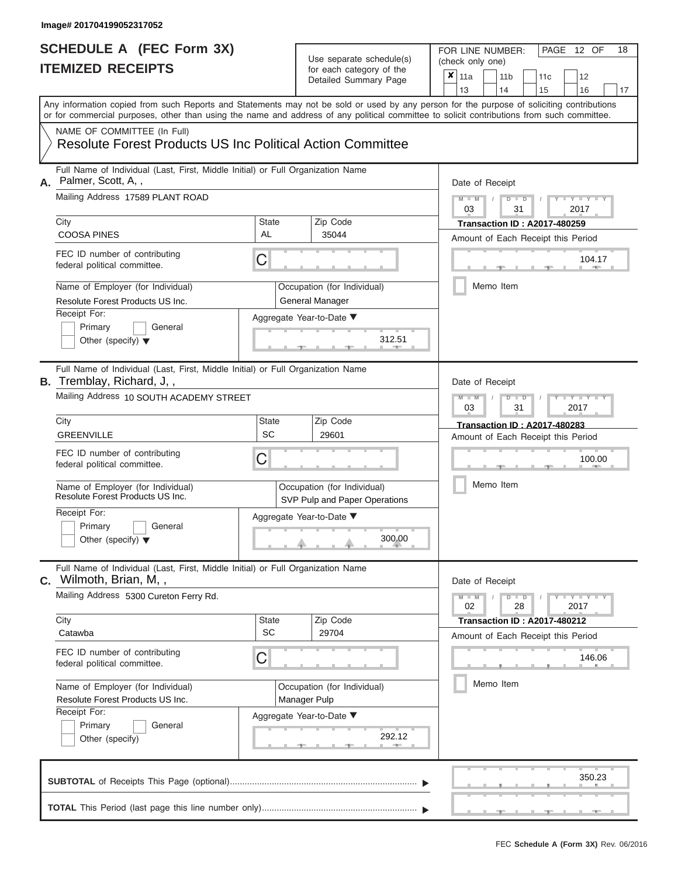| SCHEDULE A (FEC Form 3X)<br><b>ITEMIZED RECEIPTS</b>                                                                                                                                                                                                                                                                                                                                                                |                                | Use separate schedule(s)<br>for each category of the<br>Detailed Summary Page                                           | 18<br>FOR LINE NUMBER:<br>PAGE 12 OF<br>(check only one)<br>$\overline{\mathbf{x}}$   11a<br>11 <sub>b</sub><br>11 <sub>c</sub><br>12<br>13<br>14<br>15<br>16<br>17                          |
|---------------------------------------------------------------------------------------------------------------------------------------------------------------------------------------------------------------------------------------------------------------------------------------------------------------------------------------------------------------------------------------------------------------------|--------------------------------|-------------------------------------------------------------------------------------------------------------------------|----------------------------------------------------------------------------------------------------------------------------------------------------------------------------------------------|
| Any information copied from such Reports and Statements may not be sold or used by any person for the purpose of soliciting contributions<br>or for commercial purposes, other than using the name and address of any political committee to solicit contributions from such committee.<br>NAME OF COMMITTEE (In Full)<br><b>Resolute Forest Products US Inc Political Action Committee</b>                         |                                |                                                                                                                         |                                                                                                                                                                                              |
| Full Name of Individual (Last, First, Middle Initial) or Full Organization Name<br>A. Palmer, Scott, A,,<br>Mailing Address 17589 PLANT ROAD<br>City<br><b>COOSA PINES</b><br>FEC ID number of contributing<br>federal political committee.<br>Name of Employer (for Individual)<br>Resolute Forest Products US Inc.<br>Receipt For:<br>Primary<br>General<br>Other (specify) $\blacktriangledown$                  | <b>State</b><br>AL<br>С        | Zip Code<br>35044<br>Occupation (for Individual)<br>General Manager<br>Aggregate Year-to-Date ▼<br>312.51               | Date of Receipt<br>$M$ – $M$ /<br>$D$ $D$<br>Y TY T<br>03<br>31<br>2017<br><b>Transaction ID: A2017-480259</b><br>Amount of Each Receipt this Period<br>104.17<br><b>AND IN</b><br>Memo Item |
| Full Name of Individual (Last, First, Middle Initial) or Full Organization Name<br><b>B.</b> Tremblay, Richard, J,,<br>Mailing Address 10 SOUTH ACADEMY STREET<br>City<br><b>GREENVILLE</b><br>FEC ID number of contributing<br>federal political committee.<br>Name of Employer (for Individual)<br>Resolute Forest Products US Inc.<br>Receipt For:<br>Primary<br>General<br>Other (specify) $\blacktriangledown$ | State<br><b>SC</b><br>С        | Zip Code<br>29601<br>Occupation (for Individual)<br>SVP Pulp and Paper Operations<br>Aggregate Year-to-Date ▼<br>300.00 | Date of Receipt<br>$M - M$<br>$D$ $D$<br>Y I Y I<br>03<br>31<br>2017<br><b>Transaction ID: A2017-480283</b><br>Amount of Each Receipt this Period<br>100.00<br>Memo Item                     |
| Full Name of Individual (Last, First, Middle Initial) or Full Organization Name<br>C. Wilmoth, Brian, M,,<br>Mailing Address 5300 Cureton Ferry Rd.<br>City<br>Catawba<br>FEC ID number of contributing<br>federal political committee.<br>Name of Employer (for Individual)<br>Resolute Forest Products US Inc.<br>Receipt For:<br>Primary<br>General<br>Other (specify)                                           | <b>State</b><br><b>SC</b><br>С | Zip Code<br>29704<br>Occupation (for Individual)<br>Manager Pulp<br>Aggregate Year-to-Date ▼<br>292.12                  | Date of Receipt<br>$M - M$<br>$D$ $D$<br>$-Y - Y - Y - Y$<br>02<br>28<br>2017<br><b>Transaction ID: A2017-480212</b><br>Amount of Each Receipt this Period<br>146.06<br>Memo Item            |
|                                                                                                                                                                                                                                                                                                                                                                                                                     |                                |                                                                                                                         | 350.23<br>$-1$                                                                                                                                                                               |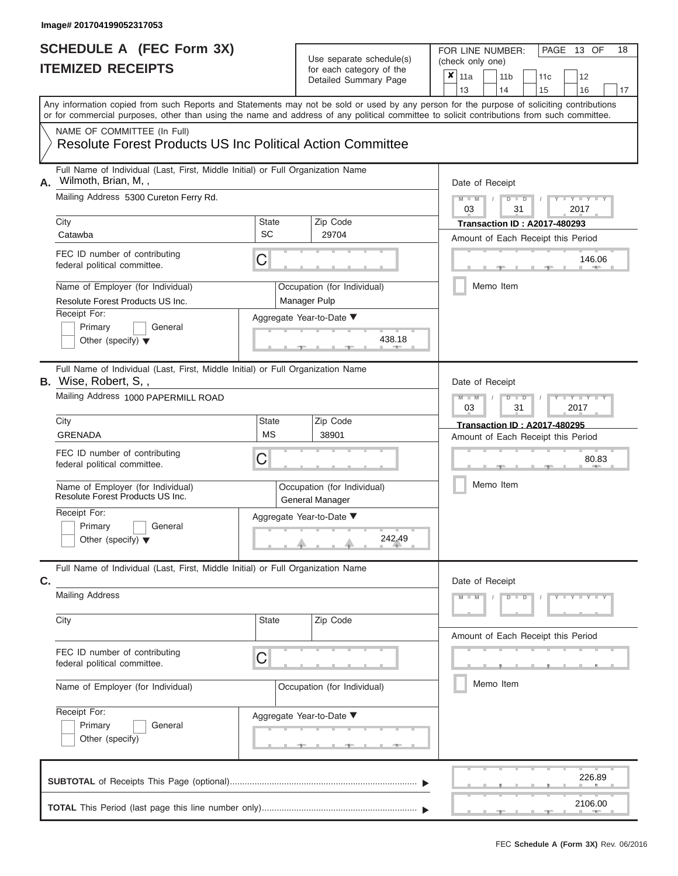| <b>ITEMIZED RECEIPTS</b>                                              | SCHEDULE A (FEC Form 3X)                                                                                               |                    | Use separate schedule(s)<br>for each category of the<br>Detailed Summary Page                                                                     | FOR LINE NUMBER:<br>PAGE 13 OF<br>(check only one)<br>$\boldsymbol{x}$<br>11a<br>11 <sub>b</sub><br>12<br>11c<br>13<br>14                                                                                                                                                                           | 18 |
|-----------------------------------------------------------------------|------------------------------------------------------------------------------------------------------------------------|--------------------|---------------------------------------------------------------------------------------------------------------------------------------------------|-----------------------------------------------------------------------------------------------------------------------------------------------------------------------------------------------------------------------------------------------------------------------------------------------------|----|
| NAME OF COMMITTEE (In Full)                                           |                                                                                                                        |                    | <b>Resolute Forest Products US Inc Political Action Committee</b>                                                                                 | 15<br>16<br>Any information copied from such Reports and Statements may not be sold or used by any person for the purpose of soliciting contributions<br>or for commercial purposes, other than using the name and address of any political committee to solicit contributions from such committee. | 17 |
| Wilmoth, Brian, M,,<br>А.                                             | Full Name of Individual (Last, First, Middle Initial) or Full Organization Name                                        |                    |                                                                                                                                                   | Date of Receipt                                                                                                                                                                                                                                                                                     |    |
|                                                                       | Mailing Address 5300 Cureton Ferry Rd.                                                                                 |                    |                                                                                                                                                   | $M - M$<br>$D$ $D$<br>Y TY T<br>$\sqrt{ }$<br>03<br>31<br>2017                                                                                                                                                                                                                                      |    |
| City<br>Catawba                                                       |                                                                                                                        | State<br>SC        | Zip Code<br>29704                                                                                                                                 | <b>Transaction ID: A2017-480293</b><br>Amount of Each Receipt this Period                                                                                                                                                                                                                           |    |
| FEC ID number of contributing<br>federal political committee.         |                                                                                                                        | С                  |                                                                                                                                                   | 146.06<br><b>AND</b>                                                                                                                                                                                                                                                                                |    |
| Name of Employer (for Individual)<br>Resolute Forest Products US Inc. |                                                                                                                        |                    | Occupation (for Individual)<br>Manager Pulp                                                                                                       | Memo Item                                                                                                                                                                                                                                                                                           |    |
| Receipt For:<br>Primary<br>Other (specify) $\blacktriangledown$       | General                                                                                                                |                    | Aggregate Year-to-Date ▼<br>438.18                                                                                                                |                                                                                                                                                                                                                                                                                                     |    |
| <b>B.</b> Wise, Robert, S,,                                           | Full Name of Individual (Last, First, Middle Initial) or Full Organization Name<br>Mailing Address 1000 PAPERMILL ROAD |                    |                                                                                                                                                   | Date of Receipt<br>$M - M$<br>$D$ $\Box$ $D$<br>Y TY<br>03<br>31<br>2017                                                                                                                                                                                                                            |    |
| City<br>GRENADA                                                       |                                                                                                                        | State<br><b>MS</b> | Zip Code<br>38901                                                                                                                                 | <b>Transaction ID: A2017-480295</b><br>Amount of Each Receipt this Period                                                                                                                                                                                                                           |    |
| FEC ID number of contributing<br>federal political committee.         |                                                                                                                        | С                  |                                                                                                                                                   | 80.83                                                                                                                                                                                                                                                                                               |    |
| Name of Employer (for Individual)<br>Resolute Forest Products US Inc. |                                                                                                                        |                    | Occupation (for Individual)<br>General Manager                                                                                                    | Memo Item                                                                                                                                                                                                                                                                                           |    |
| Receipt For:<br>Primary<br>Other (specify) $\blacktriangledown$       | General                                                                                                                |                    | Aggregate Year-to-Date ▼<br>242.49<br>J.                                                                                                          |                                                                                                                                                                                                                                                                                                     |    |
| C.                                                                    | Full Name of Individual (Last, First, Middle Initial) or Full Organization Name                                        |                    |                                                                                                                                                   | Date of Receipt                                                                                                                                                                                                                                                                                     |    |
| <b>Mailing Address</b>                                                |                                                                                                                        |                    |                                                                                                                                                   | $M - M$<br>$D$ $D$<br>$Y - Y - Y - Y - Y$                                                                                                                                                                                                                                                           |    |
| City                                                                  |                                                                                                                        | State              | Zip Code                                                                                                                                          | Amount of Each Receipt this Period                                                                                                                                                                                                                                                                  |    |
| FEC ID number of contributing<br>federal political committee.         |                                                                                                                        | С                  |                                                                                                                                                   |                                                                                                                                                                                                                                                                                                     |    |
| Name of Employer (for Individual)                                     |                                                                                                                        |                    | Occupation (for Individual)                                                                                                                       | Memo Item                                                                                                                                                                                                                                                                                           |    |
| Receipt For:<br>Primary<br>Other (specify)                            | General                                                                                                                |                    | Aggregate Year-to-Date ▼<br><u> grad de la grad de la grad de la grad de la grad de la grad de la grad de la grad de la grad de la grad de la</u> |                                                                                                                                                                                                                                                                                                     |    |
|                                                                       |                                                                                                                        |                    |                                                                                                                                                   | 226.89                                                                                                                                                                                                                                                                                              |    |
|                                                                       |                                                                                                                        |                    |                                                                                                                                                   | 2106.00                                                                                                                                                                                                                                                                                             |    |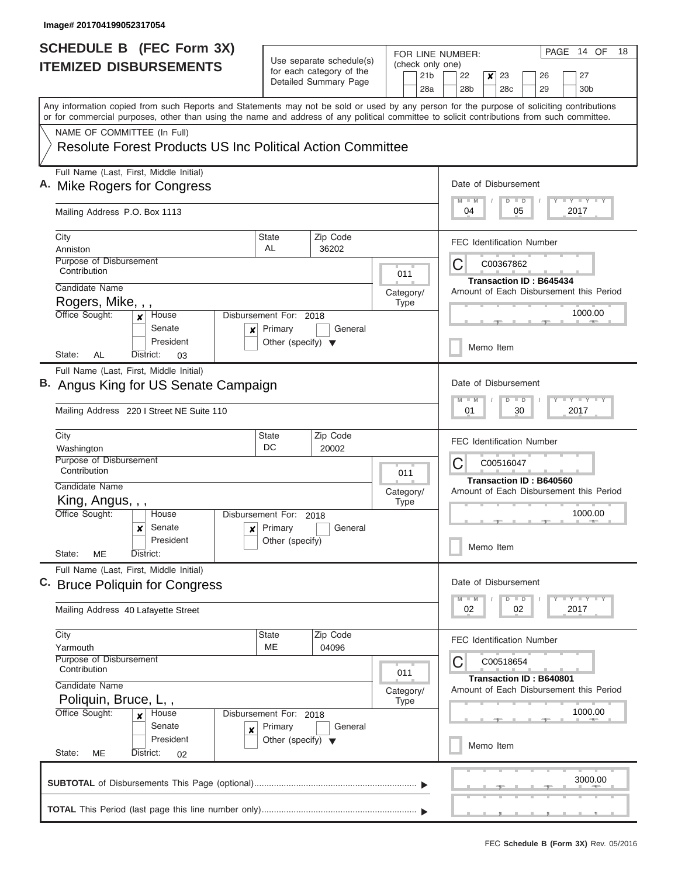|                               | <b>SCHEDULE B</b> (FEC Form 3X)                                                                                                                                                                                                                                                         |                                                                                            | Use separate schedule(s)                |           |                   |                                          | PAGE 14 OF<br>18<br>FOR LINE NUMBER:                               |  |  |
|-------------------------------|-----------------------------------------------------------------------------------------------------------------------------------------------------------------------------------------------------------------------------------------------------------------------------------------|--------------------------------------------------------------------------------------------|-----------------------------------------|-----------|-------------------|------------------------------------------|--------------------------------------------------------------------|--|--|
| <b>ITEMIZED DISBURSEMENTS</b> |                                                                                                                                                                                                                                                                                         | for each category of the                                                                   |                                         |           | 21 <sub>b</sub>   | (check only one)<br>22<br>23<br>27<br>26 |                                                                    |  |  |
|                               |                                                                                                                                                                                                                                                                                         |                                                                                            | Detailed Summary Page                   |           |                   | 28a                                      | x<br>28 <sub>b</sub><br>28 <sub>c</sub><br>29<br>30 <sub>b</sub>   |  |  |
|                               | Any information copied from such Reports and Statements may not be sold or used by any person for the purpose of soliciting contributions<br>or for commercial purposes, other than using the name and address of any political committee to solicit contributions from such committee. |                                                                                            |                                         |           |                   |                                          |                                                                    |  |  |
|                               | NAME OF COMMITTEE (In Full)                                                                                                                                                                                                                                                             |                                                                                            |                                         |           |                   |                                          |                                                                    |  |  |
|                               | <b>Resolute Forest Products US Inc Political Action Committee</b>                                                                                                                                                                                                                       |                                                                                            |                                         |           |                   |                                          |                                                                    |  |  |
|                               | Full Name (Last, First, Middle Initial)<br>A. Mike Rogers for Congress                                                                                                                                                                                                                  | Date of Disbursement<br><b>LY LY LY</b><br>$\blacksquare$ M<br>$D$ $D$<br>04<br>05<br>2017 |                                         |           |                   |                                          |                                                                    |  |  |
|                               | Mailing Address P.O. Box 1113                                                                                                                                                                                                                                                           |                                                                                            |                                         |           |                   |                                          |                                                                    |  |  |
|                               | City<br>Anniston                                                                                                                                                                                                                                                                        | <b>State</b><br>AL                                                                         | Zip Code<br>36202                       |           |                   |                                          | <b>FEC Identification Number</b>                                   |  |  |
|                               | Purpose of Disbursement                                                                                                                                                                                                                                                                 |                                                                                            |                                         |           |                   |                                          | C<br>C00367862                                                     |  |  |
|                               | Contribution<br>Candidate Name                                                                                                                                                                                                                                                          |                                                                                            |                                         |           | 011               |                                          | <b>Transaction ID: B645434</b>                                     |  |  |
|                               | Rogers, Mike, , ,                                                                                                                                                                                                                                                                       |                                                                                            |                                         |           | Category/<br>Type |                                          | Amount of Each Disbursement this Period                            |  |  |
|                               | Office Sought:<br>House                                                                                                                                                                                                                                                                 | Disbursement For: 2018                                                                     |                                         |           |                   |                                          | 1000.00                                                            |  |  |
|                               | Senate<br>$\boldsymbol{x}$<br>President<br>AL<br>State:<br>District:                                                                                                                                                                                                                    | Primary<br>Other (specify) $\blacktriangledown$                                            | General                                 |           |                   |                                          | Memo Item                                                          |  |  |
|                               | 03<br>Full Name (Last, First, Middle Initial)                                                                                                                                                                                                                                           |                                                                                            |                                         |           |                   |                                          |                                                                    |  |  |
|                               | B. Angus King for US Senate Campaign                                                                                                                                                                                                                                                    | Date of Disbursement<br><b>TEY TEY TEY</b><br>$M - M$<br>$D$ $D$<br>01<br>30<br>2017       |                                         |           |                   |                                          |                                                                    |  |  |
|                               | Mailing Address 220 I Street NE Suite 110                                                                                                                                                                                                                                               |                                                                                            |                                         |           |                   |                                          |                                                                    |  |  |
|                               | City<br>Washington                                                                                                                                                                                                                                                                      | State<br>DC                                                                                | Zip Code<br>20002                       |           |                   |                                          | <b>FEC Identification Number</b>                                   |  |  |
|                               | Purpose of Disbursement<br>Contribution                                                                                                                                                                                                                                                 |                                                                                            |                                         |           | 011               |                                          | C<br>C00516047                                                     |  |  |
|                               | Candidate Name                                                                                                                                                                                                                                                                          |                                                                                            |                                         |           | Category/         |                                          | Transaction ID: B640560<br>Amount of Each Disbursement this Period |  |  |
|                               | King, Angus, , ,                                                                                                                                                                                                                                                                        |                                                                                            |                                         |           |                   |                                          |                                                                    |  |  |
|                               | Office Sought:<br>House                                                                                                                                                                                                                                                                 | Disbursement For: 2018<br>Primary<br>Senate<br>$\boldsymbol{x}$<br>$\mathbf{x}$            |                                         |           |                   |                                          | 1000.00                                                            |  |  |
|                               | President<br>State:<br>ME<br>District:                                                                                                                                                                                                                                                  | Other (specify)                                                                            | General                                 |           |                   |                                          | Memo Item                                                          |  |  |
|                               | Full Name (Last, First, Middle Initial)                                                                                                                                                                                                                                                 |                                                                                            |                                         |           |                   |                                          |                                                                    |  |  |
| C.                            | <b>Bruce Poliquin for Congress</b>                                                                                                                                                                                                                                                      | Date of Disbursement                                                                       |                                         |           |                   |                                          |                                                                    |  |  |
|                               | Mailing Address 40 Lafayette Street                                                                                                                                                                                                                                                     | $T - Y$ $T - Y$<br>$D$ $D$<br>$M - M$<br>02<br>2017<br>02                                  |                                         |           |                   |                                          |                                                                    |  |  |
|                               | City                                                                                                                                                                                                                                                                                    | State<br><b>ME</b>                                                                         | Zip Code<br>04096                       |           |                   |                                          | <b>FEC Identification Number</b>                                   |  |  |
|                               | Yarmouth<br>Purpose of Disbursement<br>Contribution                                                                                                                                                                                                                                     | С<br>C00518654                                                                             |                                         |           |                   |                                          |                                                                    |  |  |
|                               | Candidate Name                                                                                                                                                                                                                                                                          | Transaction ID: B640801                                                                    |                                         |           |                   |                                          |                                                                    |  |  |
|                               | Poliquin, Bruce, L,,                                                                                                                                                                                                                                                                    | Category/                                                                                  | Amount of Each Disbursement this Period |           |                   |                                          |                                                                    |  |  |
|                               | Office Sought:<br>Disbursement For: 2018<br>House<br>$\boldsymbol{x}$<br>Senate                                                                                                                                                                                                         |                                                                                            |                                         | 1000.00   |                   |                                          |                                                                    |  |  |
|                               | ×<br>President                                                                                                                                                                                                                                                                          | Primary<br>Other (specify) $\blacktriangledown$                                            |                                         | Memo Item |                   |                                          |                                                                    |  |  |
|                               | State:<br>ME<br>District:<br>02                                                                                                                                                                                                                                                         |                                                                                            |                                         |           |                   |                                          |                                                                    |  |  |
|                               |                                                                                                                                                                                                                                                                                         |                                                                                            |                                         |           |                   |                                          | 3000.00                                                            |  |  |
|                               |                                                                                                                                                                                                                                                                                         |                                                                                            |                                         |           |                   |                                          |                                                                    |  |  |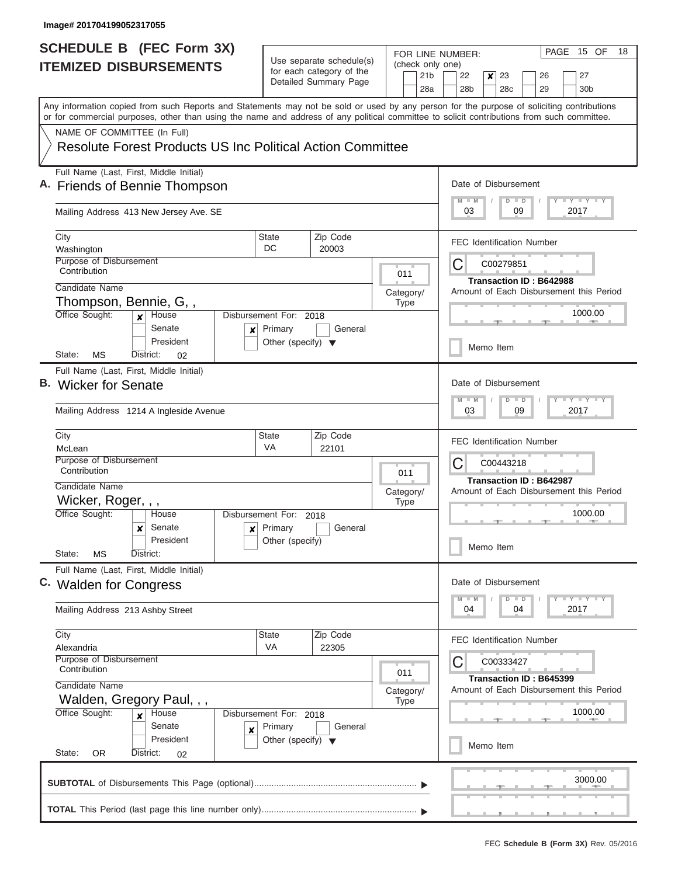| SCHEDULE B (FEC Form 3X)<br><b>ITEMIZED DISBURSEMENTS</b>                                                                                                                                                                                                                               |                                                                                      | Use separate schedule(s)                          |                   | PAGE 15 OF<br>18<br>FOR LINE NUMBER:<br>(check only one)                                                           |
|-----------------------------------------------------------------------------------------------------------------------------------------------------------------------------------------------------------------------------------------------------------------------------------------|--------------------------------------------------------------------------------------|---------------------------------------------------|-------------------|--------------------------------------------------------------------------------------------------------------------|
|                                                                                                                                                                                                                                                                                         |                                                                                      | for each category of the<br>Detailed Summary Page |                   | 21 <sub>b</sub><br>22<br>23<br>27<br>×<br>26<br>28a<br>28 <sub>b</sub><br>28 <sub>c</sub><br>29<br>30 <sub>b</sub> |
| Any information copied from such Reports and Statements may not be sold or used by any person for the purpose of soliciting contributions<br>or for commercial purposes, other than using the name and address of any political committee to solicit contributions from such committee. |                                                                                      |                                                   |                   |                                                                                                                    |
| NAME OF COMMITTEE (In Full)<br>Resolute Forest Products US Inc Political Action Committee                                                                                                                                                                                               |                                                                                      |                                                   |                   |                                                                                                                    |
| Full Name (Last, First, Middle Initial)<br>A. Friends of Bennie Thompson                                                                                                                                                                                                                | Date of Disbursement<br>$M$ $M$<br>$\blacksquare$<br>$D$ $D$                         |                                                   |                   |                                                                                                                    |
| Mailing Address 413 New Jersey Ave. SE                                                                                                                                                                                                                                                  | 03<br>09<br>2017                                                                     |                                                   |                   |                                                                                                                    |
| City<br>Washington                                                                                                                                                                                                                                                                      | <b>State</b><br>DC                                                                   | Zip Code<br>20003                                 |                   | <b>FEC Identification Number</b>                                                                                   |
| Purpose of Disbursement<br>Contribution                                                                                                                                                                                                                                                 | 011                                                                                  | С<br>C00279851<br>Transaction ID: B642988         |                   |                                                                                                                    |
| Candidate Name<br>Thompson, Bennie, G,,                                                                                                                                                                                                                                                 |                                                                                      |                                                   | Category/<br>Type | Amount of Each Disbursement this Period                                                                            |
| Office Sought:<br>House<br>$\boldsymbol{x}$<br>Senate<br>×<br>President                                                                                                                                                                                                                 | Disbursement For: 2018<br>Primary<br>Other (specify) $\blacktriangledown$            | General                                           |                   | 1000.00<br>Memo Item                                                                                               |
| State:<br>МS<br>District:<br>02<br>Full Name (Last, First, Middle Initial)                                                                                                                                                                                                              |                                                                                      |                                                   |                   |                                                                                                                    |
| B. Wicker for Senate                                                                                                                                                                                                                                                                    | Date of Disbursement<br>$-1$ $-1$ $-1$ $-1$ $-1$<br>$M - M$<br>$D$ $D$               |                                                   |                   |                                                                                                                    |
| Mailing Address 1214 A Ingleside Avenue                                                                                                                                                                                                                                                 | 03<br>09<br>2017                                                                     |                                                   |                   |                                                                                                                    |
| City<br>McLean                                                                                                                                                                                                                                                                          | <b>State</b><br>VA                                                                   | Zip Code<br>22101                                 |                   | <b>FEC Identification Number</b>                                                                                   |
| Purpose of Disbursement<br>Contribution<br>Candidate Name                                                                                                                                                                                                                               | С<br>C00443218<br>Transaction ID: B642987<br>Amount of Each Disbursement this Period |                                                   |                   |                                                                                                                    |
| Wicker, Roger, , ,<br>Office Sought:<br>Disbursement For: 2018<br>House                                                                                                                                                                                                                 | Category/<br><b>Type</b>                                                             | 1000.00                                           |                   |                                                                                                                    |
| Senate<br>$\boldsymbol{\mathsf{x}}$<br>President                                                                                                                                                                                                                                        | $x$ Primary<br>Other (specify)                                                       | General                                           |                   | $\frac{1}{2} \left( \frac{1}{2} \right) \left( \frac{1}{2} \right) \left( \frac{1}{2} \right)$<br>Memo Item        |
| State:<br>МS<br>District:<br>Full Name (Last, First, Middle Initial)                                                                                                                                                                                                                    |                                                                                      |                                                   |                   |                                                                                                                    |
| C. Walden for Congress                                                                                                                                                                                                                                                                  | Date of Disbursement<br>Y FY FY FY<br>$M$ $M$<br>$D$ $D$                             |                                                   |                   |                                                                                                                    |
| Mailing Address 213 Ashby Street                                                                                                                                                                                                                                                        | 04<br>04<br>2017                                                                     |                                                   |                   |                                                                                                                    |
| City<br>Alexandria                                                                                                                                                                                                                                                                      | State<br>VA                                                                          | Zip Code<br>22305                                 |                   | <b>FEC Identification Number</b>                                                                                   |
| Purpose of Disbursement<br>Contribution<br>Candidate Name                                                                                                                                                                                                                               | C<br>C00333427<br>Transaction ID: B645399                                            |                                                   |                   |                                                                                                                    |
| Walden, Gregory Paul, , ,<br>Office Sought:<br>House<br>Disbursement For: 2018<br>$\mathbf{x}$                                                                                                                                                                                          | Amount of Each Disbursement this Period<br>Category/<br>1000.00                      |                                                   |                   |                                                                                                                    |
| Senate<br>$\boldsymbol{x}$<br>President                                                                                                                                                                                                                                                 | Primary<br>Other (specify) $\blacktriangledown$                                      | General                                           |                   | Memo Item                                                                                                          |
| State:<br>OR.<br>District:<br>02                                                                                                                                                                                                                                                        |                                                                                      |                                                   |                   |                                                                                                                    |
|                                                                                                                                                                                                                                                                                         |                                                                                      |                                                   |                   | 3000.00                                                                                                            |
|                                                                                                                                                                                                                                                                                         |                                                                                      |                                                   |                   |                                                                                                                    |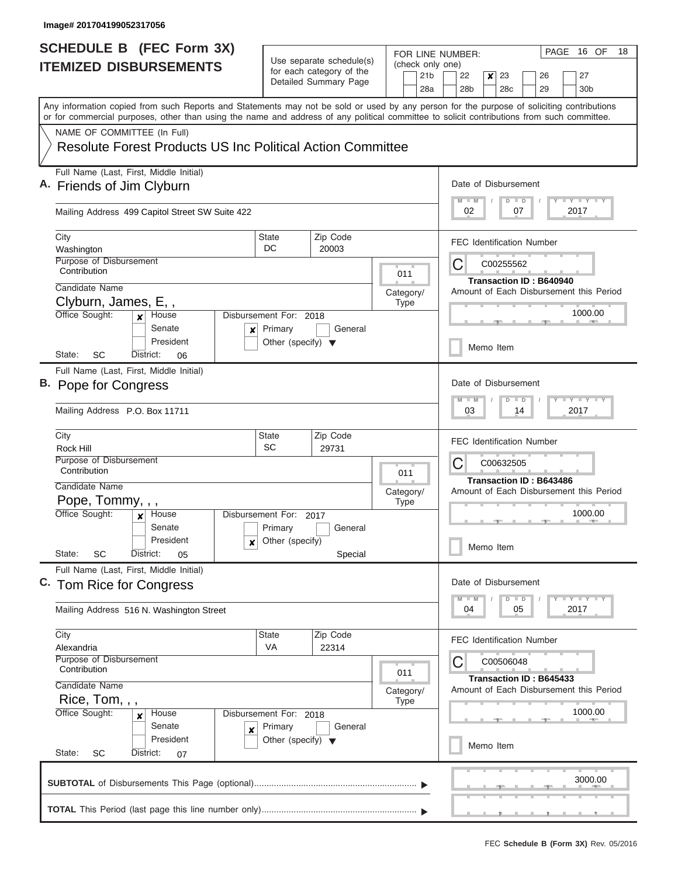|                               | <b>SCHEDULE B</b> (FEC Form 3X)                                                                                                                                                                                                                                                         |                                                             |                                                                           |                          | PAGE 16 OF<br>18<br>FOR LINE NUMBER:                                                                                              |  |  |  |
|-------------------------------|-----------------------------------------------------------------------------------------------------------------------------------------------------------------------------------------------------------------------------------------------------------------------------------------|-------------------------------------------------------------|---------------------------------------------------------------------------|--------------------------|-----------------------------------------------------------------------------------------------------------------------------------|--|--|--|
| <b>ITEMIZED DISBURSEMENTS</b> |                                                                                                                                                                                                                                                                                         | Use separate schedule(s)<br>for each category of the        |                                                                           |                          | (check only one)                                                                                                                  |  |  |  |
|                               |                                                                                                                                                                                                                                                                                         |                                                             | Detailed Summary Page                                                     |                          | 21 <sub>b</sub><br>23<br>27<br>22<br>$\boldsymbol{x}$<br>26<br>28a<br>28 <sub>b</sub><br>28 <sub>c</sub><br>29<br>30 <sub>b</sub> |  |  |  |
|                               | Any information copied from such Reports and Statements may not be sold or used by any person for the purpose of soliciting contributions<br>or for commercial purposes, other than using the name and address of any political committee to solicit contributions from such committee. |                                                             |                                                                           |                          |                                                                                                                                   |  |  |  |
|                               | NAME OF COMMITTEE (In Full)                                                                                                                                                                                                                                                             |                                                             |                                                                           |                          |                                                                                                                                   |  |  |  |
|                               | Resolute Forest Products US Inc Political Action Committee                                                                                                                                                                                                                              |                                                             |                                                                           |                          |                                                                                                                                   |  |  |  |
|                               | Full Name (Last, First, Middle Initial)<br>A. Friends of Jim Clyburn                                                                                                                                                                                                                    | Date of Disbursement<br>Y I Y I Y I Y<br>$M$ $M$<br>$D$ $D$ |                                                                           |                          |                                                                                                                                   |  |  |  |
|                               | Mailing Address 499 Capitol Street SW Suite 422                                                                                                                                                                                                                                         | 02<br>07<br>2017                                            |                                                                           |                          |                                                                                                                                   |  |  |  |
|                               | City                                                                                                                                                                                                                                                                                    | State                                                       | Zip Code                                                                  |                          | <b>FEC Identification Number</b>                                                                                                  |  |  |  |
|                               | Washington<br>Purpose of Disbursement                                                                                                                                                                                                                                                   | DC                                                          | 20003                                                                     |                          | С<br>C00255562                                                                                                                    |  |  |  |
|                               | Contribution                                                                                                                                                                                                                                                                            | 011                                                         |                                                                           |                          |                                                                                                                                   |  |  |  |
|                               | Candidate Name                                                                                                                                                                                                                                                                          | Category/                                                   | <b>Transaction ID: B640940</b><br>Amount of Each Disbursement this Period |                          |                                                                                                                                   |  |  |  |
|                               | Clyburn, James, E,,                                                                                                                                                                                                                                                                     |                                                             |                                                                           | <b>Type</b>              |                                                                                                                                   |  |  |  |
|                               | Office Sought:<br>House<br>$\mathbf{x}$<br>Senate<br>$\boldsymbol{x}$                                                                                                                                                                                                                   | Disbursement For: 2018<br>Primary                           | General                                                                   |                          | 1000.00                                                                                                                           |  |  |  |
|                               | President<br>SC<br>State:<br>District:<br>06                                                                                                                                                                                                                                            | Other (specify) $\blacktriangledown$                        |                                                                           |                          | Memo Item                                                                                                                         |  |  |  |
|                               | Full Name (Last, First, Middle Initial)                                                                                                                                                                                                                                                 |                                                             |                                                                           |                          |                                                                                                                                   |  |  |  |
|                               | B. Pope for Congress                                                                                                                                                                                                                                                                    | Date of Disbursement                                        |                                                                           |                          |                                                                                                                                   |  |  |  |
|                               | Mailing Address P.O. Box 11711                                                                                                                                                                                                                                                          | $Y = Y = Y - Y$<br>$M - M$<br>$D$ $D$<br>03<br>2017<br>14   |                                                                           |                          |                                                                                                                                   |  |  |  |
|                               | City<br>Rock Hill                                                                                                                                                                                                                                                                       | <b>State</b><br>SC                                          | Zip Code<br>29731                                                         |                          | <b>FEC Identification Number</b>                                                                                                  |  |  |  |
|                               | Purpose of Disbursement<br>Contribution                                                                                                                                                                                                                                                 |                                                             |                                                                           |                          | C<br>C00632505                                                                                                                    |  |  |  |
|                               | Candidate Name                                                                                                                                                                                                                                                                          |                                                             |                                                                           | 011                      | <b>Transaction ID: B643486</b>                                                                                                    |  |  |  |
|                               | Pope, Tommy, , ,                                                                                                                                                                                                                                                                        |                                                             |                                                                           | Category/<br><b>Type</b> | Amount of Each Disbursement this Period                                                                                           |  |  |  |
|                               | Office Sought:<br>Disbursement For: 2017<br>House                                                                                                                                                                                                                                       |                                                             | 1000.00                                                                   |                          |                                                                                                                                   |  |  |  |
|                               | Senate                                                                                                                                                                                                                                                                                  | Primary<br>General                                          |                                                                           |                          |                                                                                                                                   |  |  |  |
|                               | President<br>$\boldsymbol{x}$<br>State:<br>SC<br>District:<br>05                                                                                                                                                                                                                        | Other (specify)                                             | Special                                                                   |                          | Memo Item                                                                                                                         |  |  |  |
|                               | Full Name (Last, First, Middle Initial)                                                                                                                                                                                                                                                 | Date of Disbursement                                        |                                                                           |                          |                                                                                                                                   |  |  |  |
|                               | C. Tom Rice for Congress                                                                                                                                                                                                                                                                | Y FY FY FY<br>$M - M$<br>$D$ $D$                            |                                                                           |                          |                                                                                                                                   |  |  |  |
|                               | Mailing Address 516 N. Washington Street                                                                                                                                                                                                                                                | 2017<br>04<br>05                                            |                                                                           |                          |                                                                                                                                   |  |  |  |
|                               | City<br>Alexandria                                                                                                                                                                                                                                                                      | State<br><b>VA</b>                                          | Zip Code<br>22314                                                         |                          | <b>FEC Identification Number</b>                                                                                                  |  |  |  |
|                               | Purpose of Disbursement<br>Contribution                                                                                                                                                                                                                                                 | С<br>C00506048                                              |                                                                           |                          |                                                                                                                                   |  |  |  |
|                               | Candidate Name                                                                                                                                                                                                                                                                          | Transaction ID: B645433                                     |                                                                           |                          |                                                                                                                                   |  |  |  |
|                               | Rice, Tom, , ,                                                                                                                                                                                                                                                                          | Amount of Each Disbursement this Period<br>Category/        |                                                                           |                          |                                                                                                                                   |  |  |  |
|                               | Office Sought:<br>Disbursement For: 2018<br>House<br>$\boldsymbol{x}$                                                                                                                                                                                                                   | 1000.00                                                     |                                                                           |                          |                                                                                                                                   |  |  |  |
|                               | Senate<br>×                                                                                                                                                                                                                                                                             | Primary<br>Other (specify) $\blacktriangledown$             | General                                                                   |                          |                                                                                                                                   |  |  |  |
|                               | President<br>State:<br>District:<br>SC<br>07                                                                                                                                                                                                                                            | Memo Item                                                   |                                                                           |                          |                                                                                                                                   |  |  |  |
|                               |                                                                                                                                                                                                                                                                                         |                                                             |                                                                           |                          |                                                                                                                                   |  |  |  |
|                               |                                                                                                                                                                                                                                                                                         |                                                             |                                                                           |                          | 3000.00                                                                                                                           |  |  |  |
|                               |                                                                                                                                                                                                                                                                                         |                                                             |                                                                           |                          |                                                                                                                                   |  |  |  |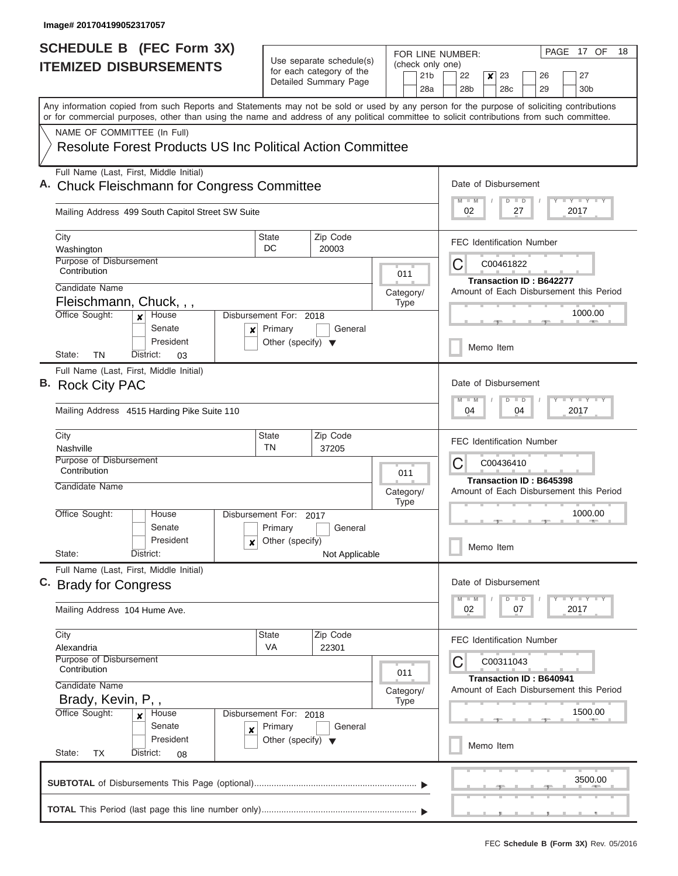| <b>SCHEDULE B</b> (FEC Form 3X)                                                                                                                                                                                                                                                         |                                                                           |                                                                               | FOR LINE NUMBER:                                   | PAGE 17 OF<br>18                                                                                        |  |  |  |
|-----------------------------------------------------------------------------------------------------------------------------------------------------------------------------------------------------------------------------------------------------------------------------------------|---------------------------------------------------------------------------|-------------------------------------------------------------------------------|----------------------------------------------------|---------------------------------------------------------------------------------------------------------|--|--|--|
| <b>ITEMIZED DISBURSEMENTS</b>                                                                                                                                                                                                                                                           |                                                                           | Use separate schedule(s)<br>for each category of the<br>Detailed Summary Page | (check only one)<br>21 <sub>b</sub><br>28a         | 22<br>23<br>26<br>27<br>$\boldsymbol{x}$<br>28 <sub>b</sub><br>28 <sub>c</sub><br>29<br>30 <sub>b</sub> |  |  |  |
| Any information copied from such Reports and Statements may not be sold or used by any person for the purpose of soliciting contributions<br>or for commercial purposes, other than using the name and address of any political committee to solicit contributions from such committee. |                                                                           |                                                                               |                                                    |                                                                                                         |  |  |  |
| NAME OF COMMITTEE (In Full)                                                                                                                                                                                                                                                             |                                                                           |                                                                               |                                                    |                                                                                                         |  |  |  |
| <b>Resolute Forest Products US Inc Political Action Committee</b>                                                                                                                                                                                                                       |                                                                           |                                                                               |                                                    |                                                                                                         |  |  |  |
| Full Name (Last, First, Middle Initial)<br>A. Chuck Fleischmann for Congress Committee                                                                                                                                                                                                  | Date of Disbursement<br><b>LY LY LY</b><br>$M$ $M$<br>$D$ $D$             |                                                                               |                                                    |                                                                                                         |  |  |  |
| Mailing Address 499 South Capitol Street SW Suite                                                                                                                                                                                                                                       | 02<br>2017<br>27                                                          |                                                                               |                                                    |                                                                                                         |  |  |  |
| City<br>Washington                                                                                                                                                                                                                                                                      | State<br>DC                                                               | Zip Code<br>20003                                                             |                                                    | <b>FEC Identification Number</b>                                                                        |  |  |  |
| Purpose of Disbursement<br>Contribution                                                                                                                                                                                                                                                 |                                                                           |                                                                               | 011                                                | С<br>C00461822                                                                                          |  |  |  |
| Candidate Name                                                                                                                                                                                                                                                                          |                                                                           |                                                                               | Category/                                          | <b>Transaction ID: B642277</b><br>Amount of Each Disbursement this Period                               |  |  |  |
| Fleischmann, Chuck, , ,                                                                                                                                                                                                                                                                 |                                                                           |                                                                               | <b>Type</b>                                        | 1000.00                                                                                                 |  |  |  |
| Office Sought:<br>House<br>$\mathbf{x}$<br>Senate<br>×<br>President                                                                                                                                                                                                                     | Disbursement For: 2018<br>Primary<br>Other (specify) $\blacktriangledown$ | General                                                                       |                                                    |                                                                                                         |  |  |  |
| State:<br>ΤN<br>District:<br>03                                                                                                                                                                                                                                                         |                                                                           |                                                                               |                                                    | Memo Item                                                                                               |  |  |  |
| Full Name (Last, First, Middle Initial)<br>B. Rock City PAC<br>Mailing Address 4515 Harding Pike Suite 110                                                                                                                                                                              |                                                                           |                                                                               |                                                    |                                                                                                         |  |  |  |
|                                                                                                                                                                                                                                                                                         |                                                                           |                                                                               |                                                    |                                                                                                         |  |  |  |
| City<br>Nashville<br>Purpose of Disbursement                                                                                                                                                                                                                                            | State<br><b>TN</b>                                                        |                                                                               | <b>FEC Identification Number</b><br>С<br>C00436410 |                                                                                                         |  |  |  |
| Contribution<br>Candidate Name                                                                                                                                                                                                                                                          |                                                                           |                                                                               | 011<br>Category/<br><b>Type</b>                    | Transaction ID: B645398<br>Amount of Each Disbursement this Period                                      |  |  |  |
| Office Sought:<br>House<br>Senate                                                                                                                                                                                                                                                       | Disbursement For:<br>Primary                                              | 2017<br>General                                                               |                                                    | 1000.00                                                                                                 |  |  |  |
| President<br>×<br>State:<br>District:                                                                                                                                                                                                                                                   | Other (specify)                                                           | Not Applicable                                                                |                                                    | Memo Item                                                                                               |  |  |  |
| Full Name (Last, First, Middle Initial)<br>C. Brady for Congress                                                                                                                                                                                                                        | Date of Disbursement<br>$T$ $Y$ $T$ $Y$ $T$ $Y$<br>$M$ $M$<br>D<br>$\Box$ |                                                                               |                                                    |                                                                                                         |  |  |  |
| Mailing Address 104 Hume Ave.                                                                                                                                                                                                                                                           | 02<br>07<br>2017                                                          |                                                                               |                                                    |                                                                                                         |  |  |  |
| City<br>Alexandria                                                                                                                                                                                                                                                                      | State<br>VA                                                               | Zip Code<br>22301                                                             |                                                    | <b>FEC Identification Number</b>                                                                        |  |  |  |
| Purpose of Disbursement<br>Contribution                                                                                                                                                                                                                                                 | С<br>C00311043<br>Transaction ID: B640941                                 |                                                                               |                                                    |                                                                                                         |  |  |  |
| Candidate Name<br>Brady, Kevin, P,,                                                                                                                                                                                                                                                     | Amount of Each Disbursement this Period                                   |                                                                               |                                                    |                                                                                                         |  |  |  |
| Office Sought:<br>Disbursement For: 2018<br>House<br>×<br>Senate<br>×                                                                                                                                                                                                                   |                                                                           | 1500.00                                                                       |                                                    |                                                                                                         |  |  |  |
| President<br>State:<br>ТX<br>District:<br>08                                                                                                                                                                                                                                            | Other (specify) $\blacktriangledown$                                      |                                                                               |                                                    | Memo Item                                                                                               |  |  |  |
|                                                                                                                                                                                                                                                                                         |                                                                           |                                                                               |                                                    | <b>Program and Contract</b><br>3500.00                                                                  |  |  |  |